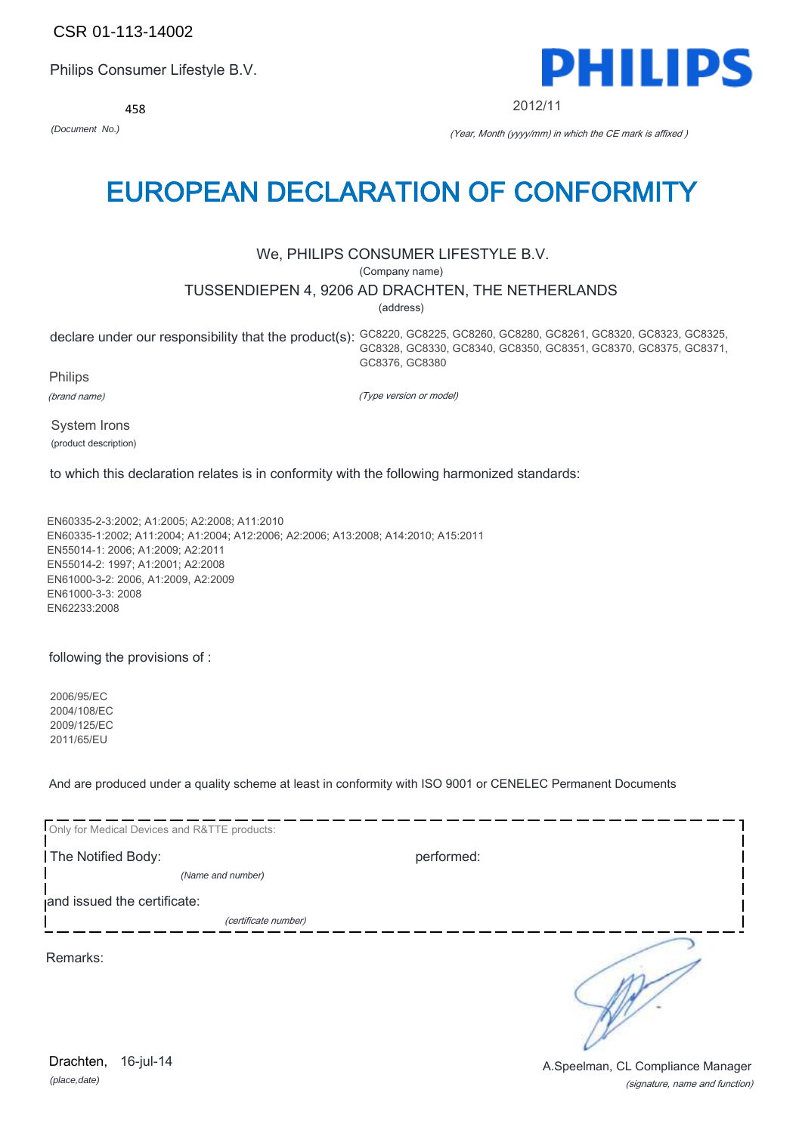CSR 01-113-14002

Philips Consumer Lifestyle B.V.

458



2012/11

*(Document No.)* (Year, Month (yyyy/mm) in which the CE mark is affixed )

## EUROPEAN DECLARATION OF CONFORMITY

## We, PHILIPS CONSUMER LIFESTYLE B.V.

(Company name)

## TUSSENDIEPEN 4, 9206 AD DRACHTEN, THE NETHERLANDS

(address)

declare under our responsibility that the product(s): GC8220, GC8225, GC8260, GC8280, GC8261, GC8320, GC8323, GC8325, GC8328, GC8330, GC8340, GC8350, GC8351, GC8370, GC8375, GC8371, GC8376, GC8380

Philips

(brand name)

(Type version or model)

System Irons (product description)

to which this declaration relates is in conformity with the following harmonized standards:

EN60335-2-3:2002; A1:2005; A2:2008; A11:2010 EN60335-1:2002; A11:2004; A1:2004; A12:2006; A2:2006; A13:2008; A14:2010; A15:2011 EN55014-1: 2006; A1:2009; A2:2011 EN55014-2: 1997; A1:2001; A2:2008 EN61000-3-2: 2006, A1:2009, A2:2009 EN61000-3-3: 2008 EN62233:2008

following the provisions of :

2006/95/EC 2004/108/EC 2009/125/EC 2011/65/EU

And are produced under a quality scheme at least in conformity with ISO 9001 or CENELEC Permanent Documents

| Only for Medical Devices and R&TTE products: |            |
|----------------------------------------------|------------|
| The Notified Body:                           | performed: |
| (Name and number)                            |            |
| and issued the certificate:                  |            |
| (certificate number)                         |            |
| Remarks:                                     |            |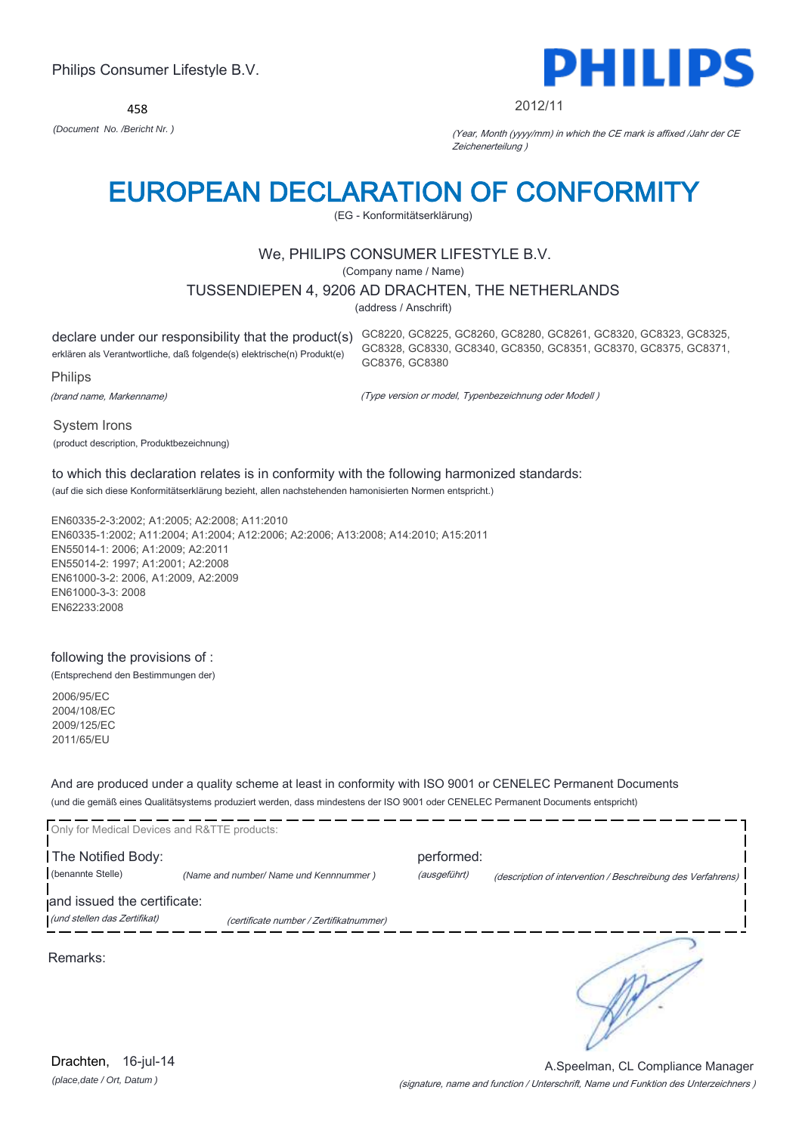458



#### 2012/11

*(Document No. /Bericht Nr. )* (Year, Month (yyyy/mm) in which the CE mark is affixed /Jahr der CE Zeichenerteilung )

# EUROPEAN DECLARATION OF CONFORMITY

(EG - Konformitätserklärung)

## We, PHILIPS CONSUMER LIFESTYLE B.V.

(Company name / Name)

## TUSSENDIEPEN 4, 9206 AD DRACHTEN, THE NETHERLANDS

(address / Anschrift)

declare under our responsibility that the product(s) GC8220, GC8225, GC8260, GC8280, GC8261, GC8320, GC8323, GC8325, erklären als Verantwortliche, daß folgende(s) elektrische(n) Produkt(e) Philips GC8328, GC8330, GC8340, GC8350, GC8351, GC8370, GC8375, GC8371,

GC8376, GC8380

(brand name, Markenname)

(Type version or model, Typenbezeichnung oder Modell )

System Irons (product description, Produktbezeichnung)

## to which this declaration relates is in conformity with the following harmonized standards:

(auf die sich diese Konformitätserklärung bezieht, allen nachstehenden hamonisierten Normen entspricht.)

EN60335-2-3:2002; A1:2005; A2:2008; A11:2010 EN60335-1:2002; A11:2004; A1:2004; A12:2006; A2:2006; A13:2008; A14:2010; A15:2011 EN55014-1: 2006; A1:2009; A2:2011 EN55014-2: 1997; A1:2001; A2:2008 EN61000-3-2: 2006, A1:2009, A2:2009 EN61000-3-3: 2008 EN62233:2008

## following the provisions of :

(Entsprechend den Bestimmungen der)

2006/95/EC 2004/108/EC 2009/125/EC 2011/65/EU

And are produced under a quality scheme at least in conformity with ISO 9001 or CENELEC Permanent Documents (und die gemäß eines Qualitätsystems produziert werden, dass mindestens der ISO 9001 oder CENELEC Permanent Documents entspricht)

| Only for Medical Devices and R&TTE products: |                                         |              |                                                             |
|----------------------------------------------|-----------------------------------------|--------------|-------------------------------------------------------------|
| The Notified Body:                           |                                         | performed:   |                                                             |
| (benannte Stelle)                            | (Name and number/ Name und Kennnummer)  | (ausgeführt) | (description of intervention / Beschreibung des Verfahrens) |
| and issued the certificate:                  |                                         |              |                                                             |
| (und stellen das Zertifikat)                 | (certificate number / Zertifikatnummer) |              |                                                             |
| Remarks:                                     |                                         |              |                                                             |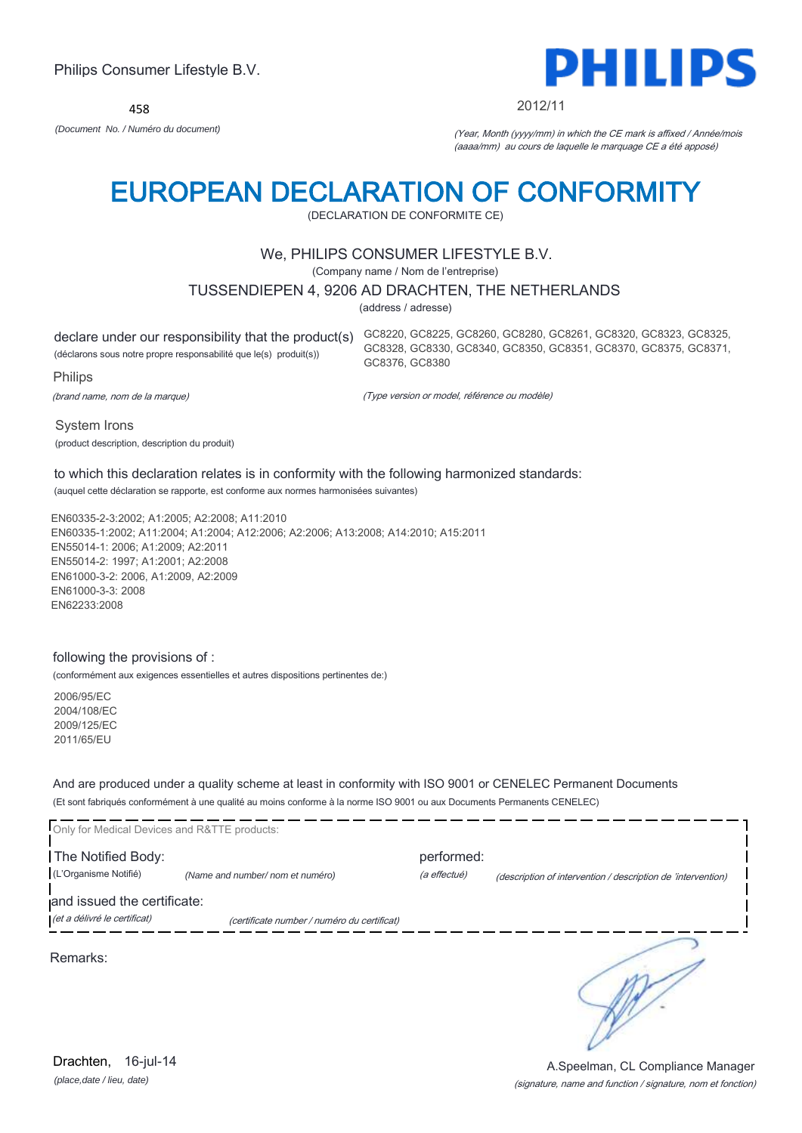458



#### 2012/11

GC8328, GC8330, GC8340, GC8350, GC8351, GC8370, GC8375, GC8371,

*(Document No. / Numéro du document)* (Year, Month (yyyy/mm) in which the CE mark is affixed / Année/mois (aaaa/mm) au cours de laquelle le marquage CE a été apposé)

# EUROPEAN DECLARATION OF CONFORMITY

(DECLARATION DE CONFORMITE CE)

## We, PHILIPS CONSUMER LIFESTYLE B.V.

(Company name / Nom de l'entreprise)

## TUSSENDIEPEN 4, 9206 AD DRACHTEN, THE NETHERLANDS

(address / adresse)

GC8376, GC8380

declare under our responsibility that the product(s) GC8220, GC8225, GC8260, GC8280, GC8261, GC8320, GC8323, GC8325, (déclarons sous notre propre responsabilité que le(s) produit(s)) Philips

(brand name, nom de la marque)

(Type version or model, référence ou modèle)

System Irons (product description, description du produit)

to which this declaration relates is in conformity with the following harmonized standards: (auquel cette déclaration se rapporte, est conforme aux normes harmonisées suivantes)

EN60335-2-3:2002; A1:2005; A2:2008; A11:2010 EN60335-1:2002; A11:2004; A1:2004; A12:2006; A2:2006; A13:2008; A14:2010; A15:2011 EN55014-1: 2006; A1:2009; A2:2011 EN55014-2: 1997; A1:2001; A2:2008 EN61000-3-2: 2006, A1:2009, A2:2009 EN61000-3-3: 2008 EN62233:2008

## following the provisions of :

(conformément aux exigences essentielles et autres dispositions pertinentes de:)

2006/95/EC 2004/108/EC 2009/125/EC 2011/65/EU

And are produced under a quality scheme at least in conformity with ISO 9001 or CENELEC Permanent Documents (Et sont fabriqués conformément à une qualité au moins conforme à la norme ISO 9001 ou aux Documents Permanents CENELEC)

| Only for Medical Devices and R&TTE products:                |                                             |              |                                                              |
|-------------------------------------------------------------|---------------------------------------------|--------------|--------------------------------------------------------------|
| The Notified Body:                                          |                                             | performed:   |                                                              |
| (L'Organisme Notifié)                                       | (Name and number/ nom et numéro)            | (a effectué) | (description of intervention / description de 'intervention) |
| and issued the certificate:<br>(et a délivré le certificat) | (certificate number / numéro du certificat) |              |                                                              |
| Remarks:                                                    |                                             |              |                                                              |

*(place,date / lieu, date)* Drachten, 16-jul-14

### (signature, name and function / signature, nom et fonction) A.Speelman, CL Compliance Manager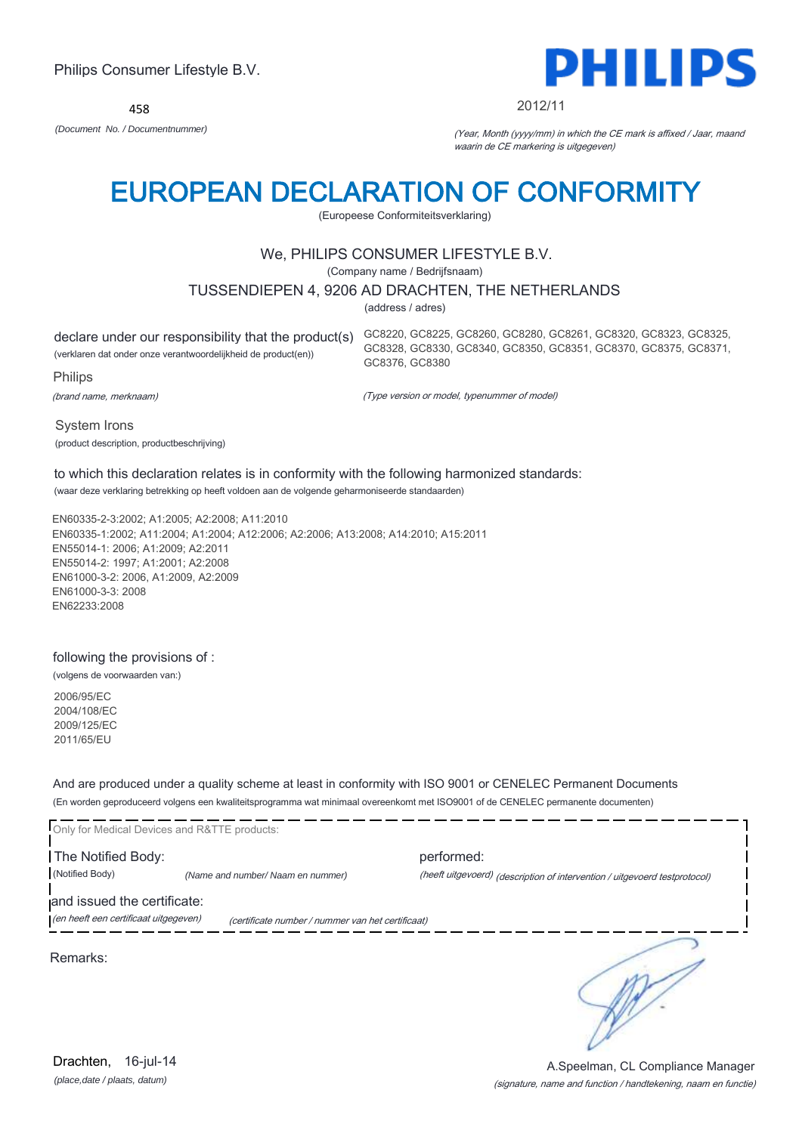458



#### 2012/11

GC8328, GC8330, GC8340, GC8350, GC8351, GC8370, GC8375, GC8371,

*(Document No. / Documentnummer)* (Year, Month (yyyy/mm) in which the CE mark is affixed / Jaar, maand waarin de CE markering is uitgegeven)

# EUROPEAN DECLARATION OF CONFORMITY

(Europeese Conformiteitsverklaring)

## We, PHILIPS CONSUMER LIFESTYLE B.V.

(Company name / Bedrijfsnaam)

## TUSSENDIEPEN 4, 9206 AD DRACHTEN, THE NETHERLANDS

(address / adres)

GC8376, GC8380

declare under our responsibility that the product(s) GC8220, GC8225, GC8260, GC8280, GC8261, GC8320, GC8323, GC8325, (verklaren dat onder onze verantwoordelijkheid de product(en))

Philips

(brand name, merknaam)

(Type version or model, typenummer of model)

System Irons (product description, productbeschrijving)

### to which this declaration relates is in conformity with the following harmonized standards: (waar deze verklaring betrekking op heeft voldoen aan de volgende geharmoniseerde standaarden)

EN60335-2-3:2002; A1:2005; A2:2008; A11:2010 EN60335-1:2002; A11:2004; A1:2004; A12:2006; A2:2006; A13:2008; A14:2010; A15:2011 EN55014-1: 2006; A1:2009; A2:2011 EN55014-2: 1997; A1:2001; A2:2008 EN61000-3-2: 2006, A1:2009, A2:2009 EN61000-3-3: 2008 EN62233:2008

### following the provisions of :

(volgens de voorwaarden van:)

2006/95/EC 2004/108/EC 2009/125/EC 2011/65/EU

And are produced under a quality scheme at least in conformity with ISO 9001 or CENELEC Permanent Documents (En worden geproduceerd volgens een kwaliteitsprogramma wat minimaal overeenkomt met ISO9001 of de CENELEC permanente documenten)

| Only for Medical Devices and R&TTE products: |                                                   |                                                                            |
|----------------------------------------------|---------------------------------------------------|----------------------------------------------------------------------------|
| The Notified Body:                           |                                                   | performed:                                                                 |
| (Notified Body)                              | (Name and number/ Naam en nummer)                 | (heeft uitgevoerd) (description of intervention / uitgevoerd testprotocol) |
| and issued the certificate:                  |                                                   |                                                                            |
| (en heeft een certificaat uitgegeven)        | (certificate number / nummer van het certificaat) |                                                                            |
| Remarks:                                     |                                                   |                                                                            |

A.Speelman, CL Compliance Manager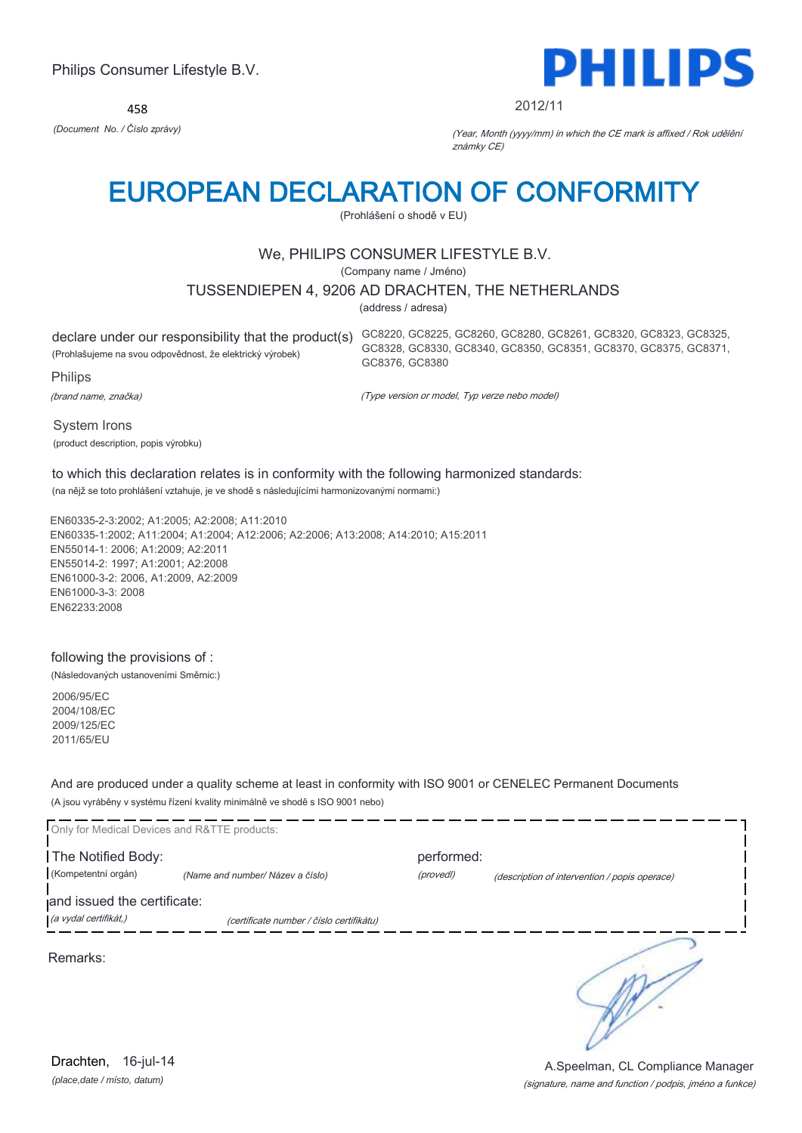458



#### 2012/11

*(Document No. / Číslo zprávy)* (Year, Month (yyyy/mm) in which the CE mark is affixed / Rok udělění známky CE)

# EUROPEAN DECLARATION OF CONFORMITY

(Prohlášení o shodě v EU)

## We, PHILIPS CONSUMER LIFESTYLE B.V.

(Company name / Jméno)

## TUSSENDIEPEN 4, 9206 AD DRACHTEN, THE NETHERLANDS

(address / adresa)

(Prohlašujeme na svou odpovědnost, že elektrický výrobek)

declare under our responsibility that the product(s) GC8220, GC8225, GC8260, GC8280, GC8261, GC8320, GC8323, GC8325, GC8328, GC8330, GC8340, GC8350, GC8351, GC8370, GC8375, GC8371, GC8376, GC8380

Philips

(brand name, značka)

(Type version or model, Typ verze nebo model)

System Irons (product description, popis výrobku)

## to which this declaration relates is in conformity with the following harmonized standards:

(na nějž se toto prohlášení vztahuje, je ve shodě s následujícími harmonizovanými normami:)

EN60335-2-3:2002; A1:2005; A2:2008; A11:2010 EN60335-1:2002; A11:2004; A1:2004; A12:2006; A2:2006; A13:2008; A14:2010; A15:2011 EN55014-1: 2006; A1:2009; A2:2011 EN55014-2: 1997; A1:2001; A2:2008 EN61000-3-2: 2006, A1:2009, A2:2009 EN61000-3-3: 2008 EN62233:2008

## following the provisions of :

(Následovaných ustanoveními Směrnic:)

2006/95/EC 2004/108/EC 2009/125/EC 2011/65/EU

And are produced under a quality scheme at least in conformity with ISO 9001 or CENELEC Permanent Documents (A jsou vyráběny v systému řízení kvality minimálně ve shodě s ISO 9001 nebo)

| Only for Medical Devices and R&TTE products: |                                          |                         |                                               |
|----------------------------------------------|------------------------------------------|-------------------------|-----------------------------------------------|
| The Notified Body:<br>(Kompetentní orgán)    | (Name and number/ Název a číslo)         | performed:<br>(provedl) | (description of intervention / popis operace) |
| and issued the certificate:                  |                                          |                         |                                               |
| (a vydal certifikát,)                        | (certificate number / číslo certifikátu) |                         |                                               |
| Remarks:                                     |                                          |                         |                                               |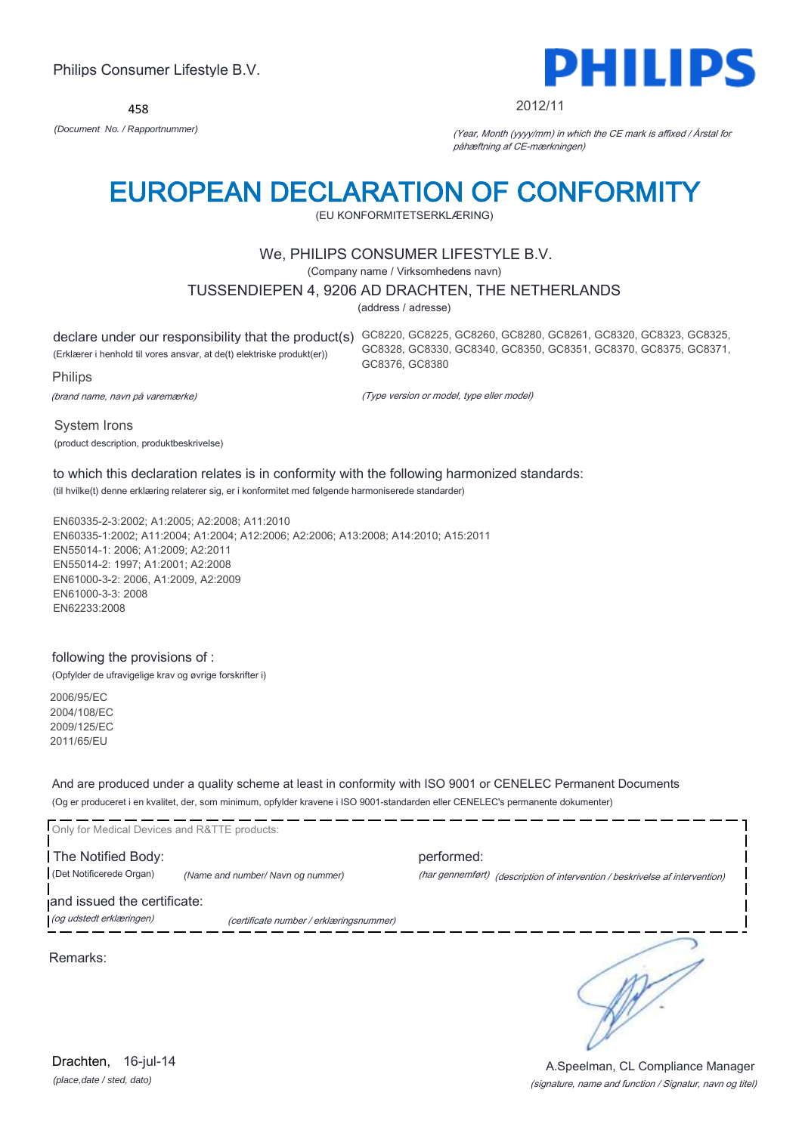458



#### 2012/11

*(Document No. / Rapportnummer)* (Year, Month (yyyy/mm) in which the CE mark is affixed / Årstal for påhæftning af CE-mærkningen)

# EUROPEAN DECLARATION OF CONFORMITY

(EU KONFORMITETSERKLÆRING)

## We, PHILIPS CONSUMER LIFESTYLE B.V.

(Company name / Virksomhedens navn)

## TUSSENDIEPEN 4, 9206 AD DRACHTEN, THE NETHERLANDS

(address / adresse)

declare under our responsibility that the product(s) GC8220, GC8225, GC8260, GC8280, GC8261, GC8320, GC8323, GC8325, (Erklærer i henhold til vores ansvar, at de(t) elektriske produkt(er)) Philips GC8328, GC8330, GC8340, GC8350, GC8351, GC8370, GC8375, GC8371, GC8376, GC8380

(brand name, navn på varemærke)

(Type version or model, type eller model)

System Irons (product description, produktbeskrivelse)

### to which this declaration relates is in conformity with the following harmonized standards: (til hvilke(t) denne erklæring relaterer sig, er i konformitet med følgende harmoniserede standarder)

EN60335-2-3:2002; A1:2005; A2:2008; A11:2010 EN60335-1:2002; A11:2004; A1:2004; A12:2006; A2:2006; A13:2008; A14:2010; A15:2011 EN55014-1: 2006; A1:2009; A2:2011 EN55014-2: 1997; A1:2001; A2:2008

EN61000-3-2: 2006, A1:2009, A2:2009 EN61000-3-3: 2008 EN62233:2008

## following the provisions of :

(Opfylder de ufravigelige krav og øvrige forskrifter i)

2006/95/EC 2004/108/EC 2009/125/EC 2011/65/EU

And are produced under a quality scheme at least in conformity with ISO 9001 or CENELEC Permanent Documents (Og er produceret i en kvalitet, der, som minimum, opfylder kravene i ISO 9001-standarden eller CENELEC's permanente dokumenter)

| Only for Medical Devices and R&TTE products:   |                                         |            |                                                                              |
|------------------------------------------------|-----------------------------------------|------------|------------------------------------------------------------------------------|
| The Notified Body:<br>(Det Notificerede Organ) | (Name and number/Navn og nummer)        | performed: | (har gennemført) (description of intervention / beskrivelse af intervention) |
| and issued the certificate:                    |                                         |            |                                                                              |
| (og udstedt erklæringen)                       | (certificate number / erklæringsnummer) |            |                                                                              |
|                                                |                                         |            |                                                                              |

Remarks:

*(place,date / sted, dato)* Drachten, 16-jul-14

(signature, name and function / Signatur, navn og titel) A.Speelman, CL Compliance Manager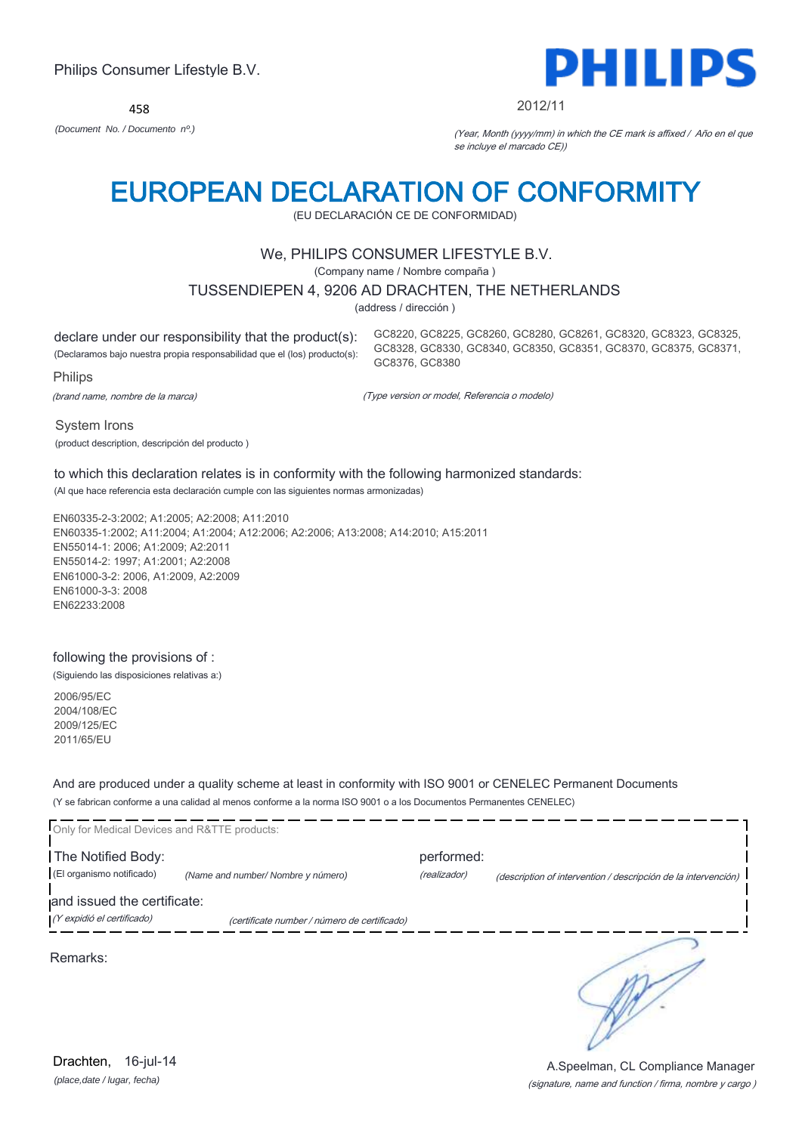458



#### 2012/11

*(Document No. / Documento nº.)* (Year, Month (yyyy/mm) in which the CE mark is affixed / Año en el que se incluye el marcado CE))

# EUROPEAN DECLARATION OF CONFORMITY

(EU DECLARACIÓN CE DE CONFORMIDAD)

## We, PHILIPS CONSUMER LIFESTYLE B.V.

(Company name / Nombre compaña )

### TUSSENDIEPEN 4, 9206 AD DRACHTEN, THE NETHERLANDS

(address / dirección )

declare under our responsibility that the product(s): (Declaramos bajo nuestra propia responsabilidad que el (los) producto(s): GC8220, GC8225, GC8260, GC8280, GC8261, GC8320, GC8323, GC8325, GC8328, GC8330, GC8340, GC8350, GC8351, GC8370, GC8375, GC8371, GC8376, GC8380

Philips

(brand name, nombre de la marca)

(Type version or model, Referencia o modelo)

System Irons

(product description, descripción del producto )

## to which this declaration relates is in conformity with the following harmonized standards:

(Al que hace referencia esta declaración cumple con las siguientes normas armonizadas)

EN60335-2-3:2002; A1:2005; A2:2008; A11:2010 EN60335-1:2002; A11:2004; A1:2004; A12:2006; A2:2006; A13:2008; A14:2010; A15:2011 EN55014-1: 2006; A1:2009; A2:2011 EN55014-2: 1997; A1:2001; A2:2008 EN61000-3-2: 2006, A1:2009, A2:2009 EN61000-3-3: 2008 EN62233:2008

### following the provisions of :

(Siguiendo las disposiciones relativas a:)

2006/95/EC 2004/108/EC 2009/125/EC 2011/65/EU

And are produced under a quality scheme at least in conformity with ISO 9001 or CENELEC Permanent Documents (Y se fabrican conforme a una calidad al menos conforme a la norma ISO 9001 o a los Documentos Permanentes CENELEC)

| Only for Medical Devices and R&TTE products:              |                                              |                            |                                                                |
|-----------------------------------------------------------|----------------------------------------------|----------------------------|----------------------------------------------------------------|
| The Notified Body:<br>(El organismo notificado)           | (Name and number/ Nombre y número)           | performed:<br>(realizador) | (description of intervention / descripción de la intervención) |
| and issued the certificate:<br>(Y expidió el certificado) | (certificate number / número de certificado) |                            |                                                                |
| Remarks:                                                  |                                              |                            |                                                                |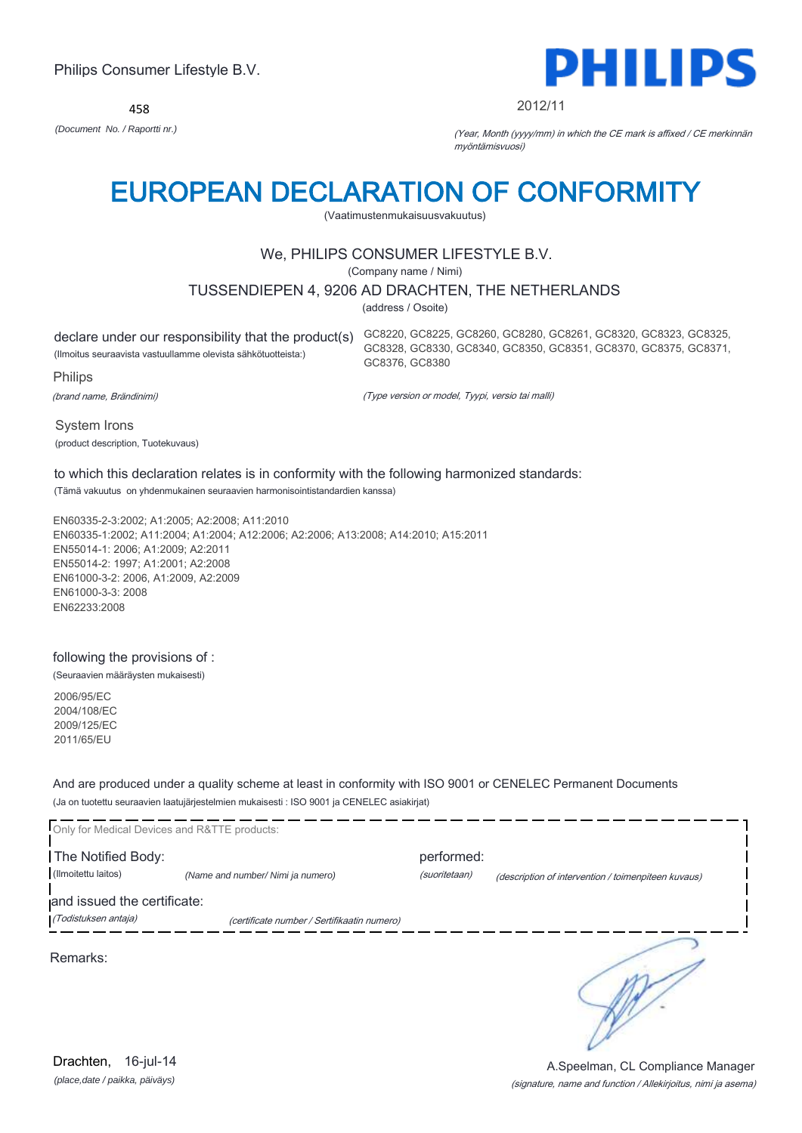458



#### 2012/11

GC8328, GC8330, GC8340, GC8350, GC8351, GC8370, GC8375, GC8371,

*(Document No. / Raportti nr.)* (Year, Month (yyyy/mm) in which the CE mark is affixed / CE merkinnän myöntämisvuosi)

# EUROPEAN DECLARATION OF CONFORMITY

(Vaatimustenmukaisuusvakuutus)

## We, PHILIPS CONSUMER LIFESTYLE B.V.

(Company name / Nimi)

## TUSSENDIEPEN 4, 9206 AD DRACHTEN, THE NETHERLANDS

(address / Osoite)

GC8376, GC8380

declare under our responsibility that the product(s) GC8220, GC8225, GC8260, GC8280, GC8261, GC8320, GC8323, GC8325, (Ilmoitus seuraavista vastuullamme olevista sähkötuotteista:)

Philips

(brand name, Brändinimi)

(Type version or model, Tyypi, versio tai malli)

System Irons (product description, Tuotekuvaus)

## to which this declaration relates is in conformity with the following harmonized standards:

(Tämä vakuutus on yhdenmukainen seuraavien harmonisointistandardien kanssa)

EN60335-2-3:2002; A1:2005; A2:2008; A11:2010 EN60335-1:2002; A11:2004; A1:2004; A12:2006; A2:2006; A13:2008; A14:2010; A15:2011 EN55014-1: 2006; A1:2009; A2:2011 EN55014-2: 1997; A1:2001; A2:2008 EN61000-3-2: 2006, A1:2009, A2:2009 EN61000-3-3: 2008 EN62233:2008

### following the provisions of :

(Seuraavien määräysten mukaisesti)

2006/95/EC 2004/108/EC 2009/125/EC 2011/65/EU

And are produced under a quality scheme at least in conformity with ISO 9001 or CENELEC Permanent Documents (Ja on tuotettu seuraavien laatujärjestelmien mukaisesti : ISO 9001 ja CENELEC asiakirjat)

| Only for Medical Devices and R&TTE products:        |                                             |                             |                                                     |
|-----------------------------------------------------|---------------------------------------------|-----------------------------|-----------------------------------------------------|
| The Notified Body:<br>(Ilmoitettu laitos)           | (Name and number/ Nimi ja numero)           | performed:<br>(suoritetaan) | (description of intervention / toimenpiteen kuvaus) |
| and issued the certificate:<br>(Todistuksen antaja) | (certificate number / Sertifikaatin numero) |                             |                                                     |
| Remarks:                                            |                                             |                             |                                                     |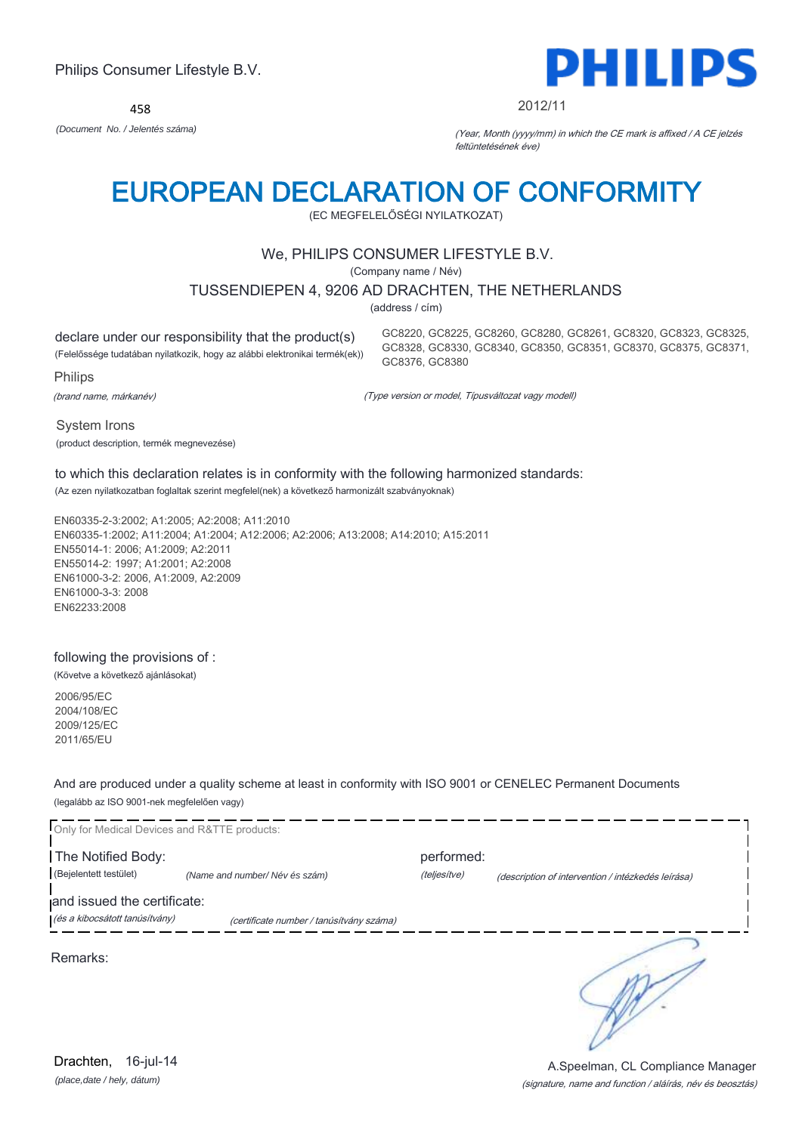458



#### 2012/11

*(Document No. / Jelentés száma)* (Year, Month (yyyy/mm) in which the CE mark is affixed / A CE jelzés feltüntetésének éve)

# EUROPEAN DECLARATION OF CONFORMITY

(EC MEGFELELŐSÉGI NYILATKOZAT)

## We, PHILIPS CONSUMER LIFESTYLE B.V.

(Company name / Név)

## TUSSENDIEPEN 4, 9206 AD DRACHTEN, THE NETHERLANDS

(address / cím)

declare under our responsibility that the product(s) (Felelőssége tudatában nyilatkozik, hogy az alábbi elektronikai termék(ek))

Philips

(brand name, márkanév)

GC8328, GC8330, GC8340, GC8350, GC8351, GC8370, GC8375, GC8371, GC8376, GC8380

GC8220, GC8225, GC8260, GC8280, GC8261, GC8320, GC8323, GC8325,

(Type version or model, Típusváltozat vagy modell)

System Irons (product description, termék megnevezése)

## to which this declaration relates is in conformity with the following harmonized standards:

(Az ezen nyilatkozatban foglaltak szerint megfelel(nek) a következő harmonizált szabványoknak)

EN60335-2-3:2002; A1:2005; A2:2008; A11:2010 EN60335-1:2002; A11:2004; A1:2004; A12:2006; A2:2006; A13:2008; A14:2010; A15:2011 EN55014-1: 2006; A1:2009; A2:2011 EN55014-2: 1997; A1:2001; A2:2008 EN61000-3-2: 2006, A1:2009, A2:2009 EN61000-3-3: 2008 EN62233:2008

## following the provisions of :

(Követve a következő ajánlásokat)

2006/95/EC 2004/108/EC 2009/125/EC 2011/65/EU

And are produced under a quality scheme at least in conformity with ISO 9001 or CENELEC Permanent Documents (legalább az ISO 9001-nek megfelelően vagy)

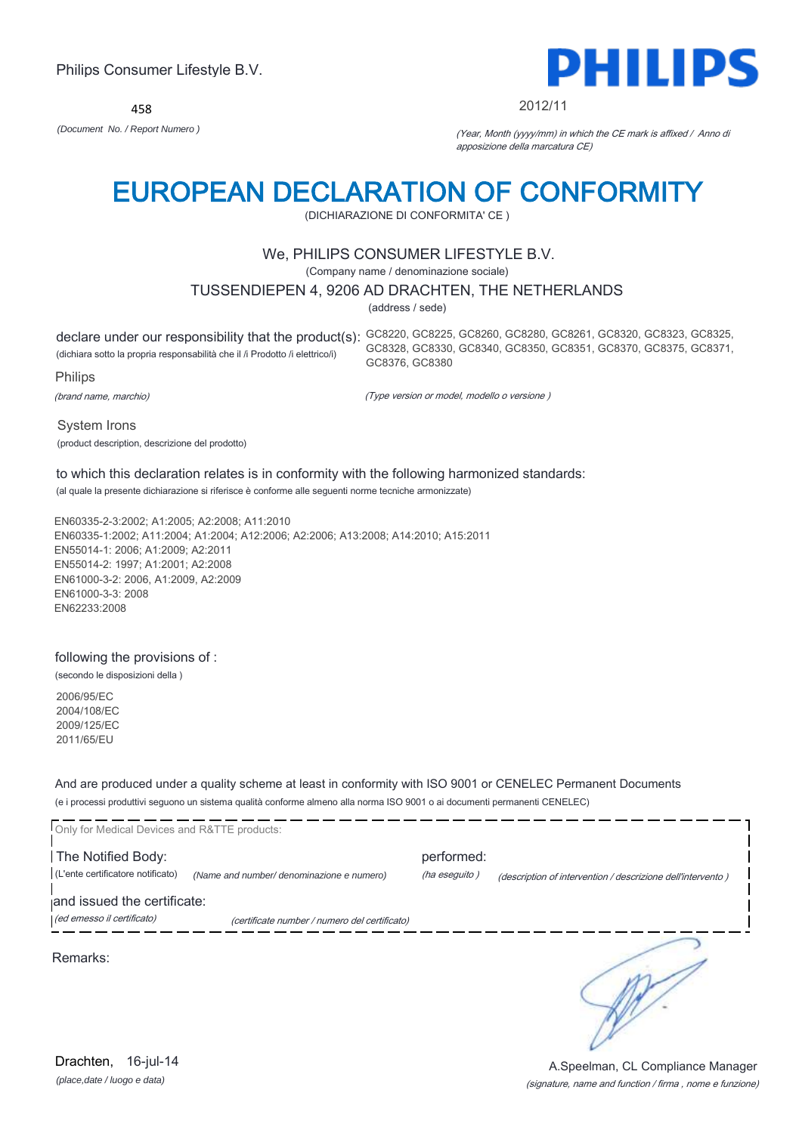458



#### 2012/11

*(Document No. / Report Numero )* (Year, Month (yyyy/mm) in which the CE mark is affixed / Anno di apposizione della marcatura CE)

## EUROPEAN DECLARATION OF CONFORMITY

(DICHIARAZIONE DI CONFORMITA' CE )

## We, PHILIPS CONSUMER LIFESTYLE B.V.

(Company name / denominazione sociale)

## TUSSENDIEPEN 4, 9206 AD DRACHTEN, THE NETHERLANDS

(address / sede)

declare under our responsibility that the product(s): GC8220, GC8225, GC8260, GC8280, GC8261, GC8320, GC8323, GC8325, (dichiara sotto la propria responsabilità che il /i Prodotto /i elettrico/i) Philips GC8328, GC8330, GC8340, GC8350, GC8351, GC8370, GC8375, GC8371, GC8376, GC8380

(brand name, marchio)

(Type version or model, modello o versione )

System Irons

(product description, descrizione del prodotto)

## to which this declaration relates is in conformity with the following harmonized standards:

(al quale la presente dichiarazione si riferisce è conforme alle seguenti norme tecniche armonizzate)

EN60335-2-3:2002; A1:2005; A2:2008; A11:2010 EN60335-1:2002; A11:2004; A1:2004; A12:2006; A2:2006; A13:2008; A14:2010; A15:2011 EN55014-1: 2006; A1:2009; A2:2011 EN55014-2: 1997; A1:2001; A2:2008 EN61000-3-2: 2006, A1:2009, A2:2009 EN61000-3-3: 2008 EN62233:2008

### following the provisions of :

(secondo le disposizioni della )

2006/95/EC 2004/108/EC 2009/125/EC 2011/65/EU

And are produced under a quality scheme at least in conformity with ISO 9001 or CENELEC Permanent Documents (e i processi produttivi seguono un sistema qualità conforme almeno alla norma ISO 9001 o ai documenti permanenti CENELEC)

| Only for Medical Devices and R&TTE products:              |                                               |                             |                                                             |
|-----------------------------------------------------------|-----------------------------------------------|-----------------------------|-------------------------------------------------------------|
| The Notified Body:<br>(L'ente certificatore notificato)   | (Name and number/ denominazione e numero)     | performed:<br>(ha eseguito) | (description of intervention / descrizione dell'intervento) |
| and issued the certificate:<br>(ed emesso il certificato) | (certificate number / numero del certificato) |                             |                                                             |
| Remarks:                                                  |                                               |                             |                                                             |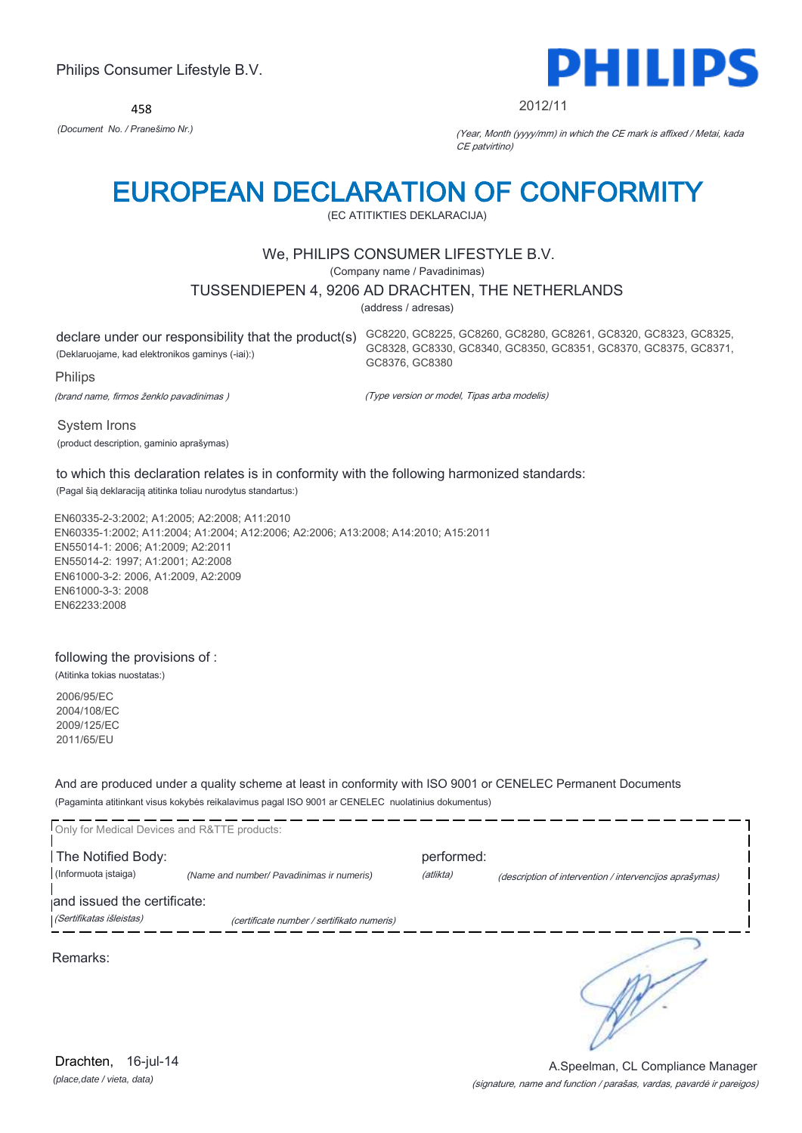458



#### 2012/11

*(Document No. / Pranešimo Nr.)* (Year, Month (yyyy/mm) in which the CE mark is affixed / Metai, kada CE patvirtino)

# EUROPEAN DECLARATION OF CONFORMITY

(EC ATITIKTIES DEKLARACIJA)

## We, PHILIPS CONSUMER LIFESTYLE B.V.

(Company name / Pavadinimas)

### TUSSENDIEPEN 4, 9206 AD DRACHTEN, THE NETHERLANDS

(address / adresas)

(Deklaruojame, kad elektronikos gaminys (-iai):)

declare under our responsibility that the product(s) GC8220, GC8225, GC8260, GC8280, GC8261, GC8320, GC8323, GC8325, GC8328, GC8330, GC8340, GC8350, GC8351, GC8370, GC8375, GC8371, GC8376, GC8380

Philips

(brand name, firmos ženklo pavadinimas )

(Type version or model, Tipas arba modelis)

System Irons

(product description, gaminio aprašymas)

## to which this declaration relates is in conformity with the following harmonized standards:

(Pagal šią deklaraciją atitinka toliau nurodytus standartus:)

EN60335-2-3:2002; A1:2005; A2:2008; A11:2010 EN60335-1:2002; A11:2004; A1:2004; A12:2006; A2:2006; A13:2008; A14:2010; A15:2011 EN55014-1: 2006; A1:2009; A2:2011 EN55014-2: 1997; A1:2001; A2:2008 EN61000-3-2: 2006, A1:2009, A2:2009 EN61000-3-3: 2008 EN62233:2008

### following the provisions of :

(Atitinka tokias nuostatas:)

2006/95/EC 2004/108/EC 2009/125/EC 2011/65/EU

And are produced under a quality scheme at least in conformity with ISO 9001 or CENELEC Permanent Documents (Pagaminta atitinkant visus kokybės reikalavimus pagal ISO 9001 ar CENELEC nuolatinius dokumentus)

| Only for Medical Devices and R&TTE products: |                                            |            |                                                         |
|----------------------------------------------|--------------------------------------------|------------|---------------------------------------------------------|
| The Notified Body:                           |                                            | performed: |                                                         |
| (Informuota įstaiga)                         | (Name and number/ Pavadinimas ir numeris)  | (atlikta)  | (description of intervention / intervencijos aprašymas) |
| and issued the certificate:                  |                                            |            |                                                         |
| (Sertifikatas išleistas)                     | (certificate number / sertifikato numeris) |            |                                                         |
| Remarks:                                     |                                            |            |                                                         |

*(place,date / vieta, data)* Drachten, 16-jul-14

### (signature, name and function / parašas, vardas, pavardė ir pareigos) A.Speelman, CL Compliance Manager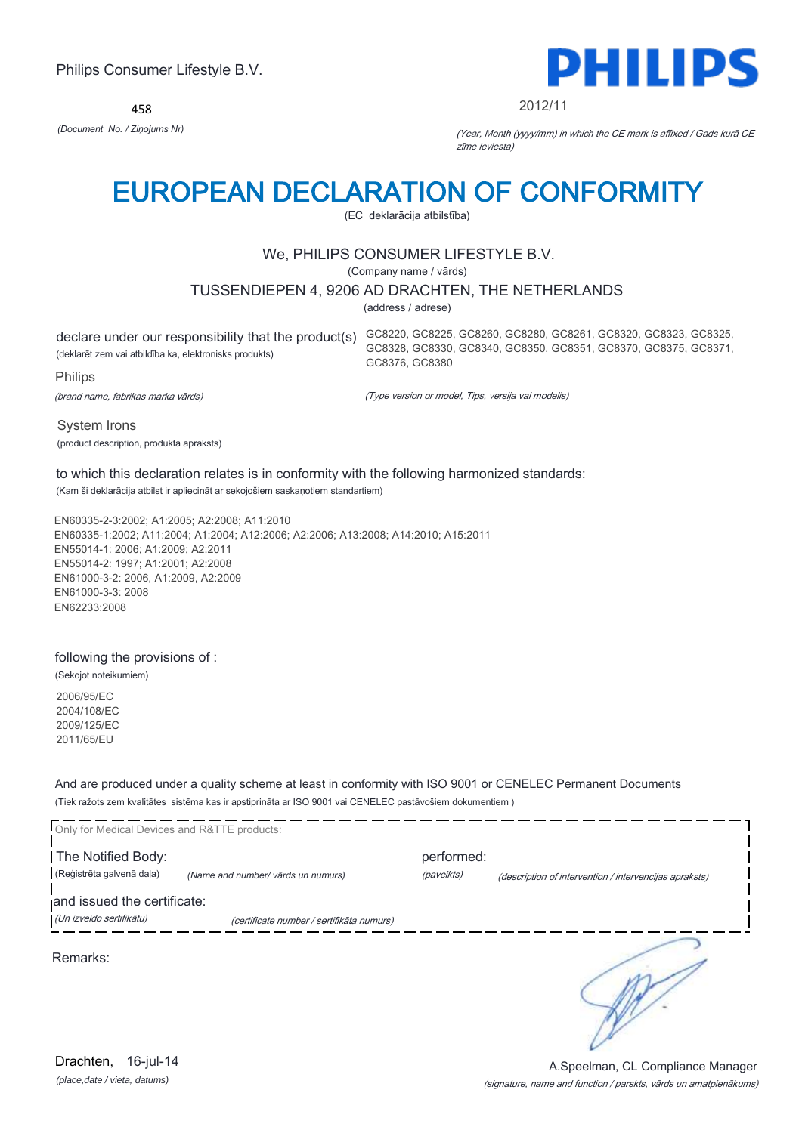458



#### 2012/11

*(Document No. / Ziņojums Nr)* (Year, Month (yyyy/mm) in which the CE mark is affixed / Gads kurā CE zīme ieviesta)

# EUROPEAN DECLARATION OF CONFORMITY

(EC deklarācija atbilstība)

## We, PHILIPS CONSUMER LIFESTYLE B.V.

(Company name / vārds)

## TUSSENDIEPEN 4, 9206 AD DRACHTEN, THE NETHERLANDS

(address / adrese)

(deklarēt zem vai atbildība ka, elektronisks produkts)

declare under our responsibility that the product(s) GC8220, GC8225, GC8260, GC8280, GC8261, GC8320, GC8323, GC8325, GC8328, GC8330, GC8340, GC8350, GC8351, GC8370, GC8375, GC8371, GC8376, GC8380

(brand name, fabrikas marka vārds)

Philips

(Type version or model, Tips, versija vai modelis)

System Irons (product description, produkta apraksts)

to which this declaration relates is in conformity with the following harmonized standards: (Kam ši deklarācija atbilst ir apliecināt ar sekojošiem saskaņotiem standartiem)

EN60335-2-3:2002; A1:2005; A2:2008; A11:2010 EN60335-1:2002; A11:2004; A1:2004; A12:2006; A2:2006; A13:2008; A14:2010; A15:2011 EN55014-1: 2006; A1:2009; A2:2011 EN55014-2: 1997; A1:2001; A2:2008 EN61000-3-2: 2006, A1:2009, A2:2009 EN61000-3-3: 2008 EN62233:2008

### following the provisions of :

(Sekojot noteikumiem)

2006/95/EC 2004/108/EC 2009/125/EC 2011/65/EU

And are produced under a quality scheme at least in conformity with ISO 9001 or CENELEC Permanent Documents (Tiek ražots zem kvalitātes sistēma kas ir apstiprināta ar ISO 9001 vai CENELEC pastāvošiem dokumentiem )

| Only for Medical Devices and R&TTE products: |                                           |            |                                                        |
|----------------------------------------------|-------------------------------------------|------------|--------------------------------------------------------|
| The Notified Body:                           |                                           | performed: |                                                        |
| (Reģistrēta galvenā daļa)                    | (Name and number/ vārds un numurs)        | (paveikts) | (description of intervention / intervencijas apraksts) |
| and issued the certificate:                  |                                           |            |                                                        |
| (Un izveido sertifikātu)                     | (certificate number / sertifikāta numurs) |            |                                                        |
| Remarks:                                     |                                           |            |                                                        |

*(place,date / vieta, datums)* Drachten, 16-jul-14

#### (signature, name and function / parskts, vārds un amatpienākums) A.Speelman, CL Compliance Manager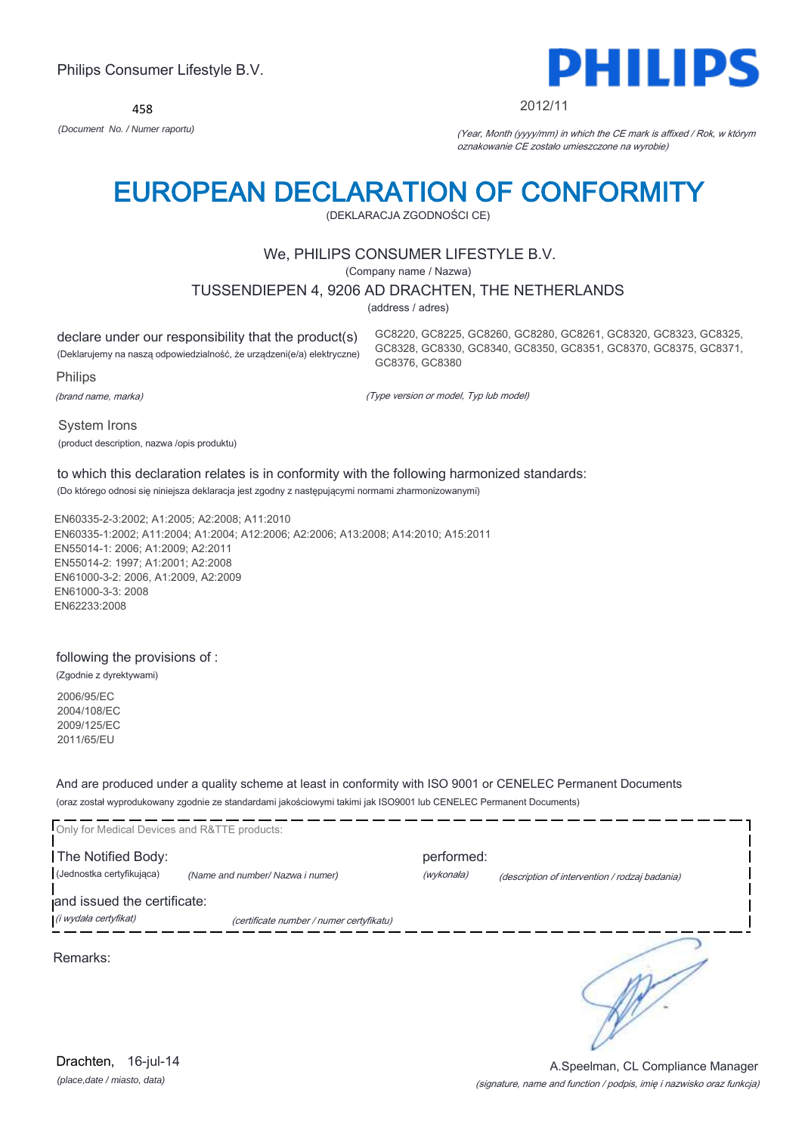458



#### 2012/11

GC8220, GC8225, GC8260, GC8280, GC8261, GC8320, GC8323, GC8325, GC8328, GC8330, GC8340, GC8350, GC8351, GC8370, GC8375, GC8371,

*(Document No. / Numer raportu)* (Year, Month (yyyy/mm) in which the CE mark is affixed / Rok, w którym oznakowanie CE zostało umieszczone na wyrobie)

# EUROPEAN DECLARATION OF CONFORMITY

(DEKLARACJA ZGODNOŚCI CE)

## We, PHILIPS CONSUMER LIFESTYLE B.V.

(Company name / Nazwa)

## TUSSENDIEPEN 4, 9206 AD DRACHTEN, THE NETHERLANDS

(address / adres)

GC8376, GC8380

declare under our responsibility that the product(s) (Deklarujemy na naszą odpowiedzialność, że urządzeni(e/a) elektryczne)

Philips

(brand name, marka)

(Type version or model, Typ lub model)

System Irons

(product description, nazwa /opis produktu)

## to which this declaration relates is in conformity with the following harmonized standards:

(Do którego odnosi się niniejsza deklaracja jest zgodny z następującymi normami zharmonizowanymi)

EN60335-2-3:2002; A1:2005; A2:2008; A11:2010 EN60335-1:2002; A11:2004; A1:2004; A12:2006; A2:2006; A13:2008; A14:2010; A15:2011 EN55014-1: 2006; A1:2009; A2:2011 EN55014-2: 1997; A1:2001; A2:2008 EN61000-3-2: 2006, A1:2009, A2:2009 EN61000-3-3: 2008 EN62233:2008

### following the provisions of :

(Zgodnie z dyrektywami)

*(place,date / miasto, data)* Drachten, 16-jul-14

2006/95/EC 2004/108/EC 2009/125/EC 2011/65/EU

And are produced under a quality scheme at least in conformity with ISO 9001 or CENELEC Permanent Documents (oraz został wyprodukowany zgodnie ze standardami jakościowymi takimi jak ISO9001 lub CENELEC Permanent Documents)

| Only for Medical Devices and R&TTE products: |                                          |            |                                                |
|----------------------------------------------|------------------------------------------|------------|------------------------------------------------|
| The Notified Body:                           |                                          | performed: |                                                |
| (Jednostka certyfikująca)                    | (Name and number/ Nazwa i numer)         | (wykonała) | (description of intervention / rodzaj badania) |
| and issued the certificate:                  |                                          |            |                                                |
| (i wydała certyfikat)                        | (certificate number / numer certyfikatu) |            |                                                |
| Remarks:                                     |                                          |            |                                                |
|                                              |                                          |            |                                                |

### (signature, name and function / podpis, imię i nazwisko oraz funkcja) A.Speelman, CL Compliance Manager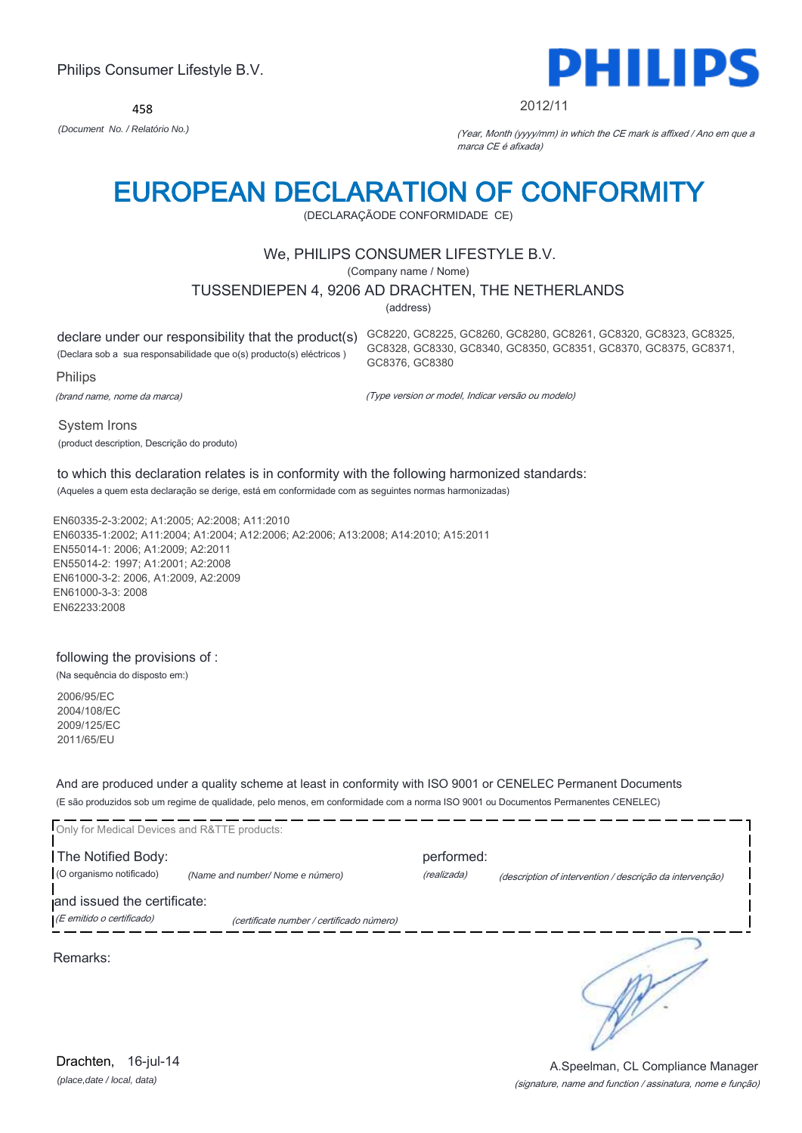458



#### 2012/11

*(Document No. / Relatório No.)* (Year, Month (yyyy/mm) in which the CE mark is affixed / Ano em que a marca CE é afixada)

# EUROPEAN DECLARATION OF CONFORMITY

(DECLARAÇÃODE CONFORMIDADE CE)

## We, PHILIPS CONSUMER LIFESTYLE B.V.

(Company name / Nome)

## TUSSENDIEPEN 4, 9206 AD DRACHTEN, THE NETHERLANDS

(address)

(Declara sob a sua responsabilidade que o(s) producto(s) eléctricos )

Philips

(brand name, nome da marca)

declare under our responsibility that the product(s) GC8220, GC8225, GC8260, GC8280, GC8261, GC8320, GC8323, GC8325, GC8328, GC8330, GC8340, GC8350, GC8351, GC8370, GC8375, GC8371, GC8376, GC8380

(Type version or model, Indicar versão ou modelo)

System Irons

(product description, Descrição do produto)

#### to which this declaration relates is in conformity with the following harmonized standards: (Aqueles a quem esta declaração se derige, está em conformidade com as seguintes normas harmonizadas)

EN60335-2-3:2002; A1:2005; A2:2008; A11:2010 EN60335-1:2002; A11:2004; A1:2004; A12:2006; A2:2006; A13:2008; A14:2010; A15:2011 EN55014-1: 2006; A1:2009; A2:2011 EN55014-2: 1997; A1:2001; A2:2008 EN61000-3-2: 2006, A1:2009, A2:2009 EN61000-3-3: 2008 EN62233:2008

## following the provisions of :

(Na sequência do disposto em:)

2006/95/EC 2004/108/EC 2009/125/EC 2011/65/EU

And are produced under a quality scheme at least in conformity with ISO 9001 or CENELEC Permanent Documents (E são produzidos sob um regime de qualidade, pelo menos, em conformidade com a norma ISO 9001 ou Documentos Permanentes CENELEC)

| Only for Medical Devices and R&TTE products: |                                           |             |                                                          |
|----------------------------------------------|-------------------------------------------|-------------|----------------------------------------------------------|
| The Notified Body:                           |                                           | performed:  |                                                          |
| (O organismo notificado)                     | (Name and number/Nome e número)           | (realizada) | (description of intervention / descrição da intervenção) |
| and issued the certificate:                  |                                           |             |                                                          |
| (E emitido o certificado)                    | (certificate number / certificado número) |             |                                                          |

Remarks: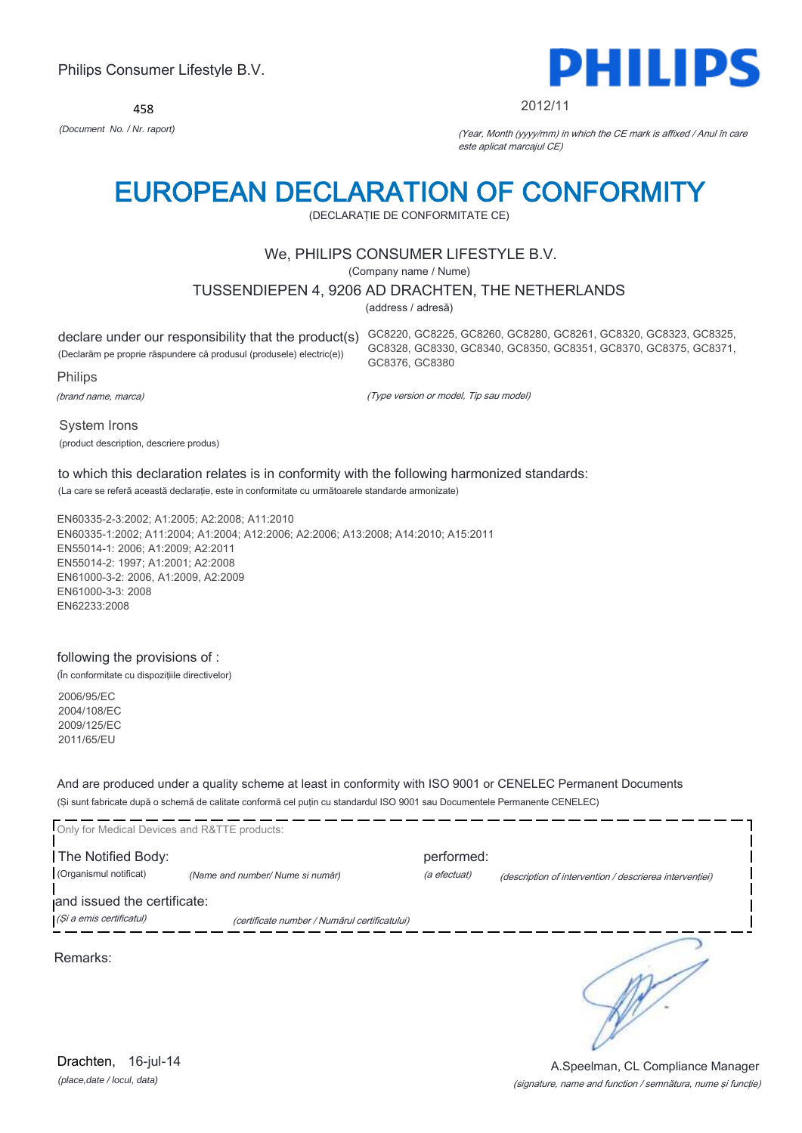458



#### 2012/11

GC8328, GC8330, GC8340, GC8350, GC8351, GC8370, GC8375, GC8371,

*(Document No. / Nr. raport)* (Year, Month (yyyy/mm) in which the CE mark is affixed / Anul în care este aplicat marcajul CE)

# EUROPEAN DECLARATION OF CONFORMITY

(DECLARAŢIE DE CONFORMITATE CE)

## We, PHILIPS CONSUMER LIFESTYLE B.V.

(Company name / Nume)

### TUSSENDIEPEN 4, 9206 AD DRACHTEN, THE NETHERLANDS

(address / adresă)

GC8376, GC8380

declare under our responsibility that the product(s) GC8220, GC8225, GC8260, GC8280, GC8261, GC8320, GC8323, GC8325, (Declarăm pe proprie răspundere că produsul (produsele) electric(e))

Philips

(brand name, marca)

(Type version or model, Tip sau model)

System Irons (product description, descriere produs)

## to which this declaration relates is in conformity with the following harmonized standards:

(La care se referă această declaraţie, este in conformitate cu următoarele standarde armonizate)

EN60335-2-3:2002; A1:2005; A2:2008; A11:2010 EN60335-1:2002; A11:2004; A1:2004; A12:2006; A2:2006; A13:2008; A14:2010; A15:2011 EN55014-1: 2006; A1:2009; A2:2011 EN55014-2: 1997; A1:2001; A2:2008 EN61000-3-2: 2006, A1:2009, A2:2009 EN61000-3-3: 2008 EN62233:2008

### following the provisions of :

(În conformitate cu dispoziţiile directivelor)

2006/95/EC 2004/108/EC 2009/125/EC 2011/65/EU

And are produced under a quality scheme at least in conformity with ISO 9001 or CENELEC Permanent Documents (Şi sunt fabricate după o schemă de calitate conformă cel puţin cu standardul ISO 9001 sau Documentele Permanente CENELEC)

| Only for Medical Devices and R&TTE products: |                                               |              |                                                         |
|----------------------------------------------|-----------------------------------------------|--------------|---------------------------------------------------------|
| The Notified Body:                           |                                               | performed:   |                                                         |
| (Organismul notificat)                       | (Name and number/ Nume si număr)              | (a efectuat) | (description of intervention / descrierea interventiei) |
| and issued the certificate:                  |                                               |              |                                                         |
| (Și a emis certificatul)                     | (certificate number / Numărul certificatului) |              |                                                         |
| Remarks:                                     |                                               |              |                                                         |

*(place,date / locul, data)* Drachten, 16-jul-14

#### (signature, name and function / semnătura, nume şi funcţie) A.Speelman, CL Compliance Manager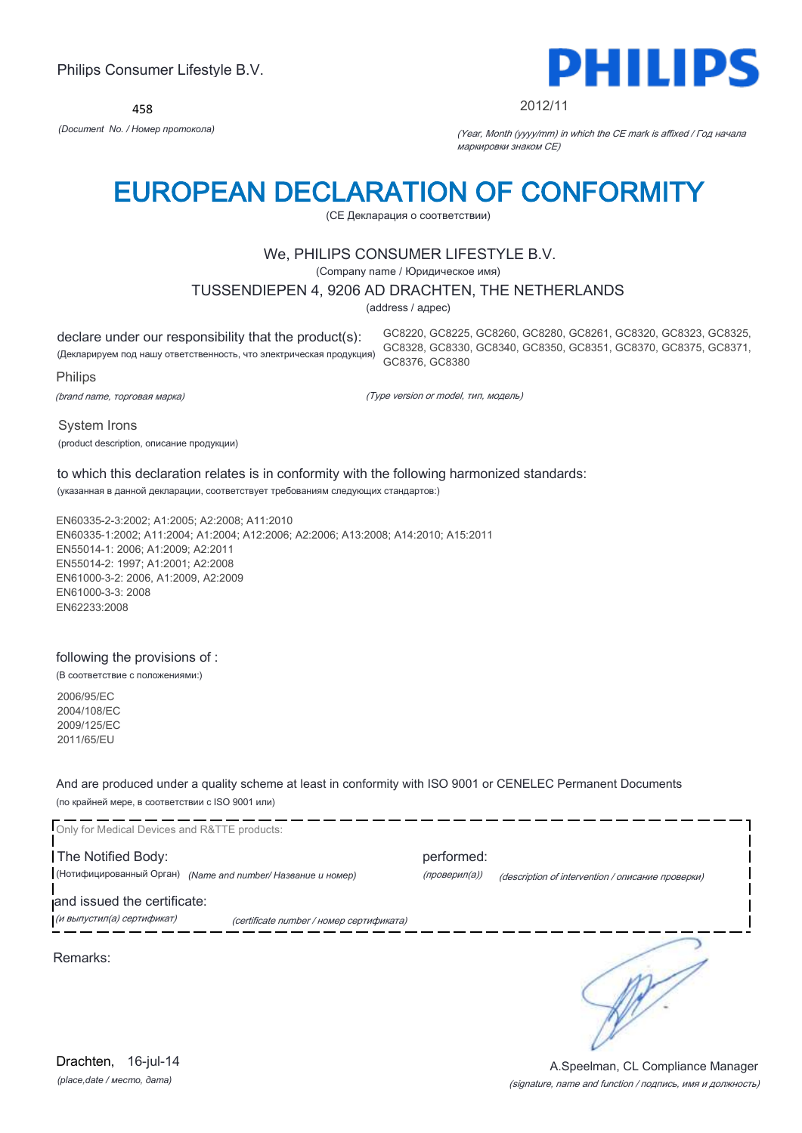458



#### 2012/11

GC8220, GC8225, GC8260, GC8280, GC8261, GC8320, GC8323, GC8325, GC8328, GC8330, GC8340, GC8350, GC8351, GC8370, GC8375, GC8371,

*(Document No. / Номер протокола)* (Year, Month (yyyy/mm) in which the CE mark is affixed / Год начала маркировки знаком CE)

# EUROPEAN DECLARATION OF CONFORMITY

(CE Декларация о соответствии)

## We, PHILIPS CONSUMER LIFESTYLE B.V.

(Company name / Юридическое имя)

### TUSSENDIEPEN 4, 9206 AD DRACHTEN, THE NETHERLANDS

(address / адрес)

declare under our responsibility that the product(s):

(Декларируем под нашу ответственность, что электрическая продукция)

Philips

(brand name, торговая марка)

(Type version or model, тип, модель)

GC8376, GC8380

System Irons

(product description, описание продукции)

## to which this declaration relates is in conformity with the following harmonized standards:

(указанная в данной декларации, соответствует требованиям следующих стандартов:)

EN60335-2-3:2002; A1:2005; A2:2008; A11:2010 EN60335-1:2002; A11:2004; A1:2004; A12:2006; A2:2006; A13:2008; A14:2010; A15:2011 EN55014-1: 2006; A1:2009; A2:2011 EN55014-2: 1997; A1:2001; A2:2008 EN61000-3-2: 2006, A1:2009, A2:2009 EN61000-3-3: 2008 EN62233:2008

### following the provisions of :

(В соответствие с положениями:)

2006/95/EC 2004/108/EC 2009/125/EC 2011/65/EU

And are produced under a quality scheme at least in conformity with ISO 9001 or CENELEC Permanent Documents (по крайней мере, в соответствии с ISO 9001 или)



*(place,date / место, дата)*

### (signature, name and function / подпись, имя и должность) A.Speelman, CL Compliance Manager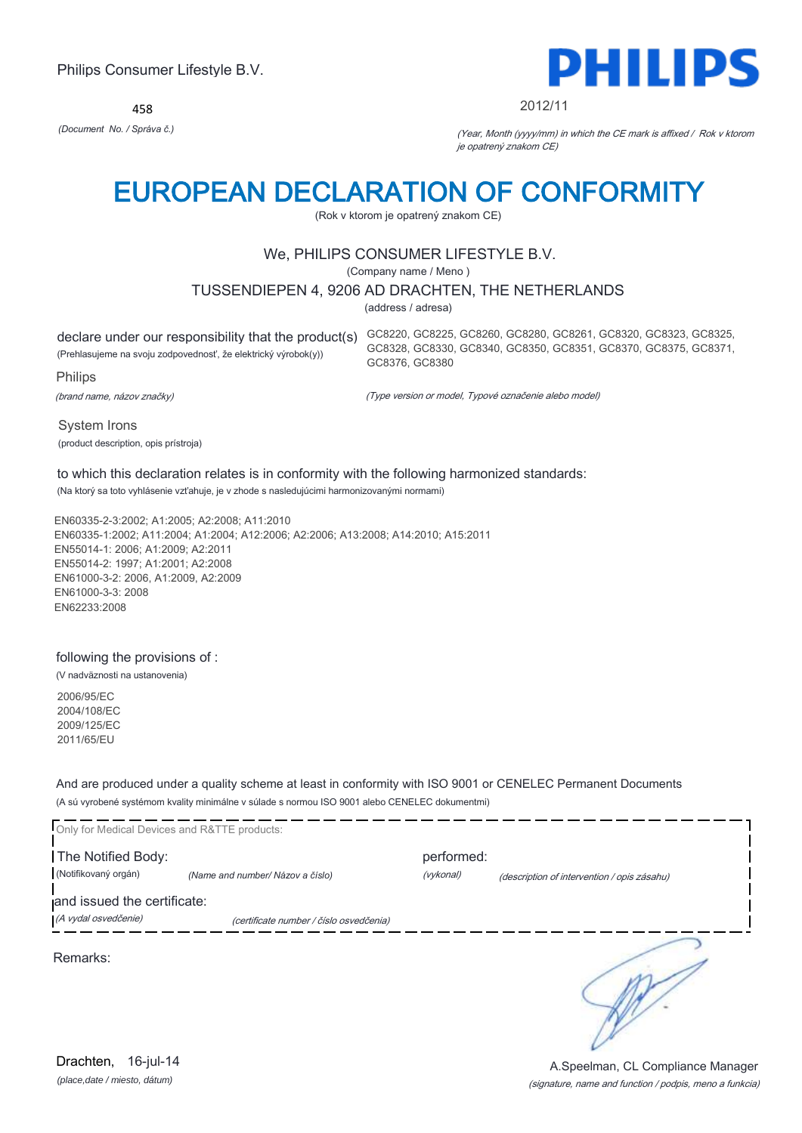458



#### 2012/11

*(Document No. / Správa č.)* (Year, Month (yyyy/mm) in which the CE mark is affixed / Rok v ktorom je opatrený znakom CE)

# EUROPEAN DECLARATION OF CONFORMITY

(Rok v ktorom je opatrený znakom CE)

## We, PHILIPS CONSUMER LIFESTYLE B.V.

(Company name / Meno )

## TUSSENDIEPEN 4, 9206 AD DRACHTEN, THE NETHERLANDS

(address / adresa)

(Prehlasujeme na svoju zodpovednosť, že elektrický výrobok(y))

Philips

(brand name, názov značky)

declare under our responsibility that the product(s) GC8220, GC8225, GC8260, GC8280, GC8261, GC8320, GC8323, GC8325, GC8328, GC8330, GC8340, GC8350, GC8351, GC8370, GC8375, GC8371, GC8376, GC8380

(Type version or model, Typové označenie alebo model)

System Irons (product description, opis prístroja)

## to which this declaration relates is in conformity with the following harmonized standards:

(Na ktorý sa toto vyhlásenie vzťahuje, je v zhode s nasledujúcimi harmonizovanými normami)

EN60335-2-3:2002; A1:2005; A2:2008; A11:2010 EN60335-1:2002; A11:2004; A1:2004; A12:2006; A2:2006; A13:2008; A14:2010; A15:2011 EN55014-1: 2006; A1:2009; A2:2011 EN55014-2: 1997; A1:2001; A2:2008 EN61000-3-2: 2006, A1:2009, A2:2009 EN61000-3-3: 2008 EN62233:2008

## following the provisions of :

(V nadväznosti na ustanovenia)

2006/95/EC 2004/108/EC 2009/125/EC 2011/65/EU

And are produced under a quality scheme at least in conformity with ISO 9001 or CENELEC Permanent Documents (A sú vyrobené systémom kvality minimálne v súlade s normou ISO 9001 alebo CENELEC dokumentmi)

| Only for Medical Devices and R&TTE products:        |                                         |                         |                                             |
|-----------------------------------------------------|-----------------------------------------|-------------------------|---------------------------------------------|
| The Notified Body:<br>(Notifikovaný orgán)          | (Name and number/ Názov a číslo)        | performed:<br>(vykonal) | (description of intervention / opis zásahu) |
| and issued the certificate:<br>(A vydal osvedčenie) | (certificate number / číslo osvedčenia) |                         |                                             |
| Remarks:                                            |                                         |                         |                                             |
|                                                     |                                         |                         |                                             |
|                                                     |                                         |                         |                                             |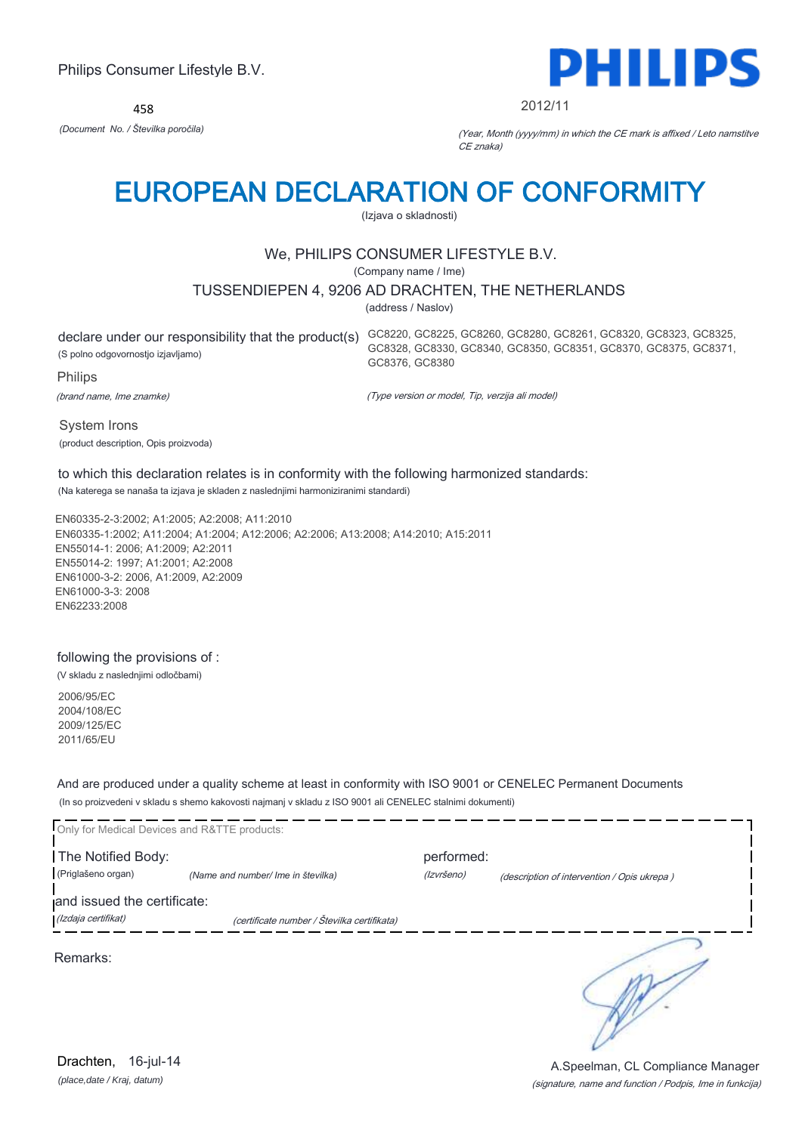458



2012/11

GC8328, GC8330, GC8340, GC8350, GC8351, GC8370, GC8375, GC8371,

*(Document No. / Številka poročila)* (Year, Month (yyyy/mm) in which the CE mark is affixed / Leto namstitve CE znaka)

# EUROPEAN DECLARATION OF CONFORMITY

(Izjava o skladnosti)

## We, PHILIPS CONSUMER LIFESTYLE B.V.

(Company name / Ime)

## TUSSENDIEPEN 4, 9206 AD DRACHTEN, THE NETHERLANDS

(address / Naslov)

GC8376, GC8380

declare under our responsibility that the product(s) GC8220, GC8225, GC8260, GC8280, GC8261, GC8320, GC8323, GC8325, (S polno odgovornostjo izjavljamo)

Philips

(brand name, Ime znamke)

(Type version or model, Tip, verzija ali model)

System Irons (product description, Opis proizvoda)

## to which this declaration relates is in conformity with the following harmonized standards:

(Na katerega se nanaša ta izjava je skladen z naslednjimi harmoniziranimi standardi)

EN60335-2-3:2002; A1:2005; A2:2008; A11:2010 EN60335-1:2002; A11:2004; A1:2004; A12:2006; A2:2006; A13:2008; A14:2010; A15:2011 EN55014-1: 2006; A1:2009; A2:2011 EN55014-2: 1997; A1:2001; A2:2008 EN61000-3-2: 2006, A1:2009, A2:2009 EN61000-3-3: 2008 EN62233:2008

## following the provisions of :

(V skladu z naslednjimi odločbami)

2006/95/EC 2004/108/EC 2009/125/EC 2011/65/EU

And are produced under a quality scheme at least in conformity with ISO 9001 or CENELEC Permanent Documents (In so proizvedeni v skladu s shemo kakovosti najmanj v skladu z ISO 9001 ali CENELEC stalnimi dokumenti)

| Only for Medical Devices and R&TTE products:       |                                             |                          |                                             |
|----------------------------------------------------|---------------------------------------------|--------------------------|---------------------------------------------|
| The Notified Body:<br>(Priglašeno organ)           | (Name and number/ Ime in številka)          | performed:<br>(Izvršeno) | (description of intervention / Opis ukrepa) |
| and issued the certificate:<br>(Izdaja certifikat) | (certificate number / Številka certifikata) |                          |                                             |
| Remarks:                                           |                                             |                          |                                             |
|                                                    |                                             |                          |                                             |
|                                                    |                                             |                          |                                             |

*(place,date / Kraj, datum)* Drachten, 16-jul-14

### (signature, name and function / Podpis, Ime in funkcija) A.Speelman, CL Compliance Manager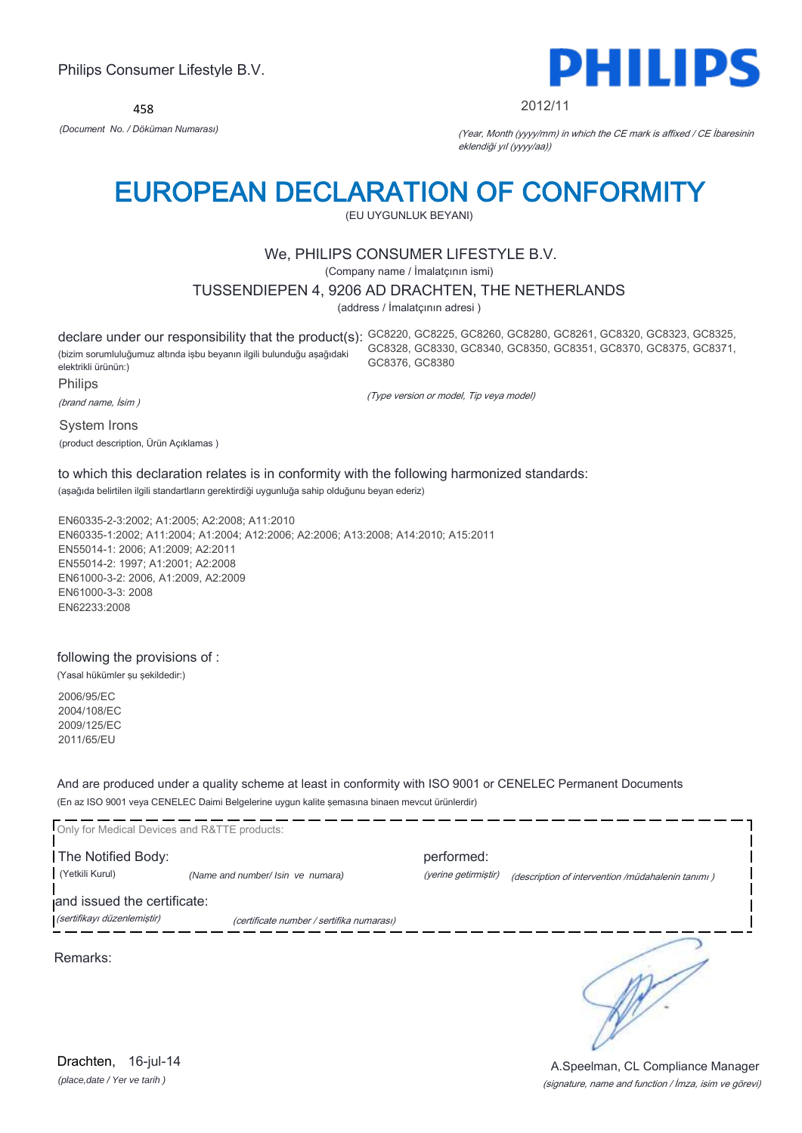458



#### 2012/11

*(Document No. / Döküman Numarası)* (Year, Month (yyyy/mm) in which the CE mark is affixed / CE İbaresinin eklendiği yıl (yyyy/aa))

# EUROPEAN DECLARATION OF CONFORMITY

(EU UYGUNLUK BEYANI)

## We, PHILIPS CONSUMER LIFESTYLE B.V.

(Company name / İmalatçının ismi)

### TUSSENDIEPEN 4, 9206 AD DRACHTEN, THE NETHERLANDS

(address / İmalatçının adresi )

declare under our responsibility that the product(s): GC8220, GC8225, GC8260, GC8280, GC8261, GC8320, GC8323, GC8325, (bizim sorumluluğumuz altında işbu beyanın ilgili bulunduğu aşağıdaki elektrikli ürünün:) Philips GC8328, GC8330, GC8340, GC8350, GC8351, GC8370, GC8375, GC8371, GC8376, GC8380

(brand name, İsim )

System Irons

(product description, Ürün Açıklamas )

(Type version or model, Tip veya model)

## to which this declaration relates is in conformity with the following harmonized standards:

(aşağıda belirtilen ilgili standartların gerektirdiği uygunluğa sahip olduğunu beyan ederiz)

EN60335-2-3:2002; A1:2005; A2:2008; A11:2010 EN60335-1:2002; A11:2004; A1:2004; A12:2006; A2:2006; A13:2008; A14:2010; A15:2011 EN55014-1: 2006; A1:2009; A2:2011 EN55014-2: 1997; A1:2001; A2:2008 EN61000-3-2: 2006, A1:2009, A2:2009 EN61000-3-3: 2008 EN62233:2008

## following the provisions of :

(Yasal hükümler şu şekildedir:)

2006/95/EC 2004/108/EC 2009/125/EC 2011/65/EU

And are produced under a quality scheme at least in conformity with ISO 9001 or CENELEC Permanent Documents (En az ISO 9001 veya CENELEC Daimi Belgelerine uygun kalite şemasına binaen mevcut ürünlerdir)



(signature, name and function / İmza, isim ve görevi) A.Speelman, CL Compliance Manager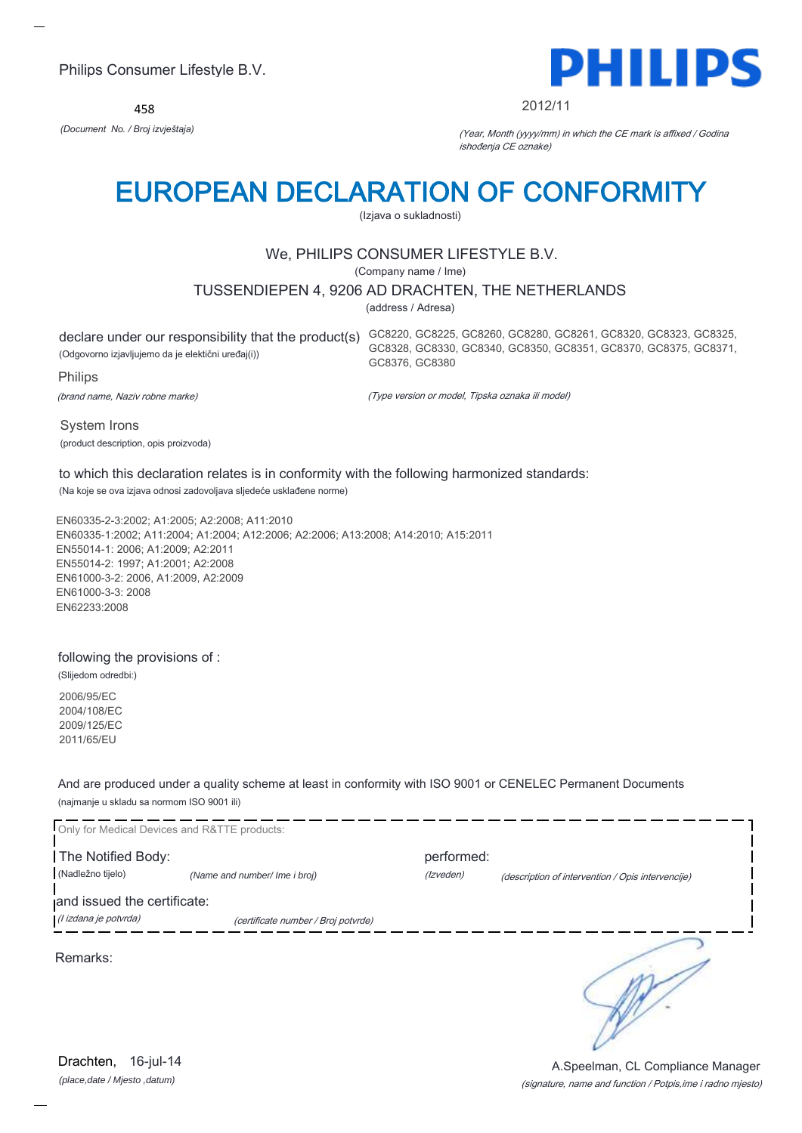458



#### 2012/11

GC8328, GC8330, GC8340, GC8350, GC8351, GC8370, GC8375, GC8371,

*(Document No. / Broj izvještaja)* (Year, Month (yyyy/mm) in which the CE mark is affixed / Godina ishođenja CE oznake)

# EUROPEAN DECLARATION OF CONFORMITY

(Izjava o sukladnosti)

## We, PHILIPS CONSUMER LIFESTYLE B.V.

(Company name / Ime)

## TUSSENDIEPEN 4, 9206 AD DRACHTEN, THE NETHERLANDS

(address / Adresa)

GC8376, GC8380

declare under our responsibility that the product(s) GC8220, GC8225, GC8260, GC8280, GC8261, GC8320, GC8323, GC8325, (Odgovorno izjavljujemo da je elektični uređaj(i))

Philips

(brand name, Naziv robne marke)

(Type version or model, Tipska oznaka ili model)

System Irons (product description, opis proizvoda)

to which this declaration relates is in conformity with the following harmonized standards:

(Na koje se ova izjava odnosi zadovoljava sljedeće usklađene norme)

EN60335-2-3:2002; A1:2005; A2:2008; A11:2010 EN60335-1:2002; A11:2004; A1:2004; A12:2006; A2:2006; A13:2008; A14:2010; A15:2011 EN55014-1: 2006; A1:2009; A2:2011 EN55014-2: 1997; A1:2001; A2:2008 EN61000-3-2: 2006, A1:2009, A2:2009 EN61000-3-3: 2008 EN62233:2008

### following the provisions of :

(Slijedom odredbi:)

2006/95/EC 2004/108/EC 2009/125/EC 2011/65/EU

And are produced under a quality scheme at least in conformity with ISO 9001 or CENELEC Permanent Documents (najmanje u skladu sa normom ISO 9001 ili)

| Only for Medical Devices and R&TTE products: |                                     |            |                                                   |
|----------------------------------------------|-------------------------------------|------------|---------------------------------------------------|
| The Notified Body:                           |                                     | performed: |                                                   |
| (Nadležno tijelo)                            | (Name and number/ Ime i broj)       | (Izveden)  | (description of intervention / Opis intervencije) |
| and issued the certificate:                  |                                     |            |                                                   |
| (l izdana je potvrda)                        | (certificate number / Broj potvrde) |            |                                                   |
| Remarks:                                     |                                     |            |                                                   |

*(place,date / Mjesto ,datum)* Drachten, 16-jul-14

### (signature, name and function / Potpis,ime i radno mjesto) A.Speelman, CL Compliance Manager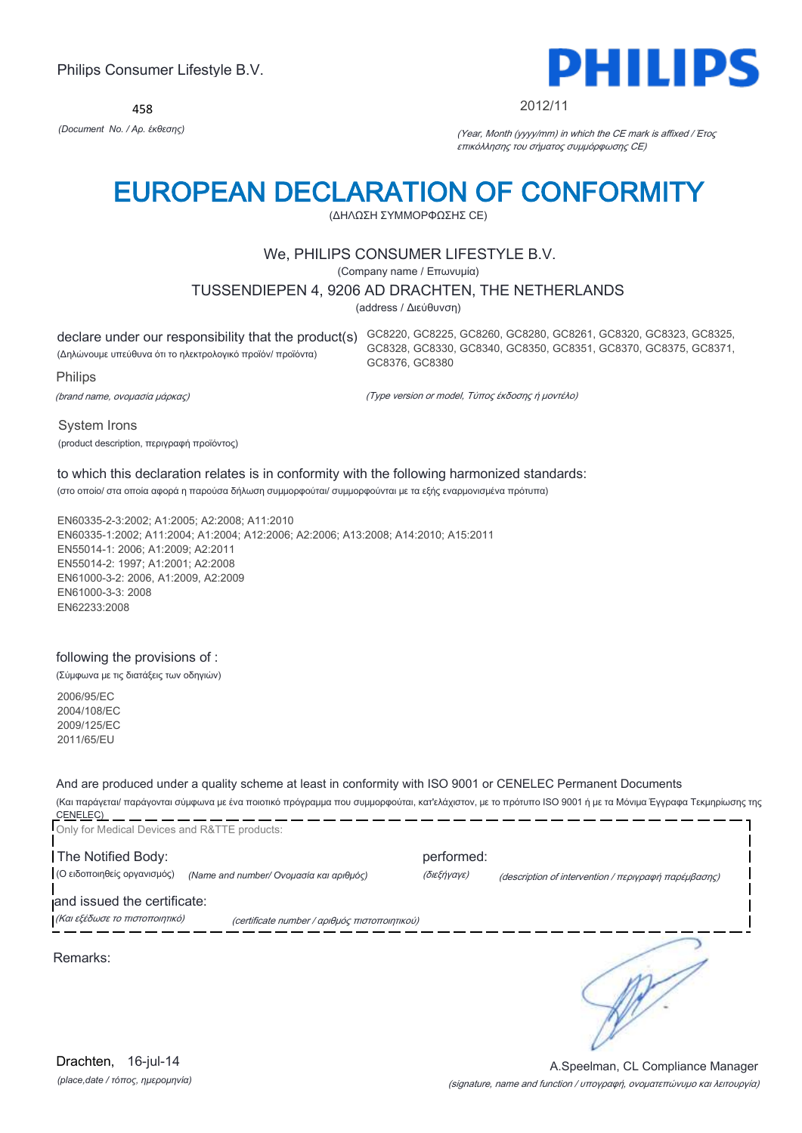458



#### 2012/11

*(Document No. / Αρ. έκθεσης)* (Year, Month (yyyy/mm) in which the CE mark is affixed / Έτος επικόλλησης του σήματος συμμόρφωσης CE)

# EUROPEAN DECLARATION OF CONFORMITY

(ΔΗΛΩΣΗ ΣΥΜΜΟΡΦΩΣΗΣ CE)

## We, PHILIPS CONSUMER LIFESTYLE B.V.

(Company name / Επωνυμία)

### TUSSENDIEPEN 4, 9206 AD DRACHTEN, THE NETHERLANDS

(address / Διεύθυνση)

declare under our responsibility that the product(s) GC8220, GC8225, GC8260, GC8280, GC8261, GC8320, GC8323, GC8325, (Δηλώνουμε υπεύθυνα ότι το ηλεκτρολογικό προϊόν/ προϊόντα) Philips

GC8328, GC8330, GC8340, GC8350, GC8351, GC8370, GC8375, GC8371, GC8376, GC8380

(brand name, ονομασία μάρκας)

(Type version or model, Τύπος έκδοσης ή μοντέλο)

System Irons

(product description, περιγραφή προϊόντος)

## to which this declaration relates is in conformity with the following harmonized standards:

(στο οποίο/ στα οποία αφορά η παρούσα δήλωση συμμορφούται/ συμμορφούνται με τα εξής εναρμονισμένα πρότυπα)

EN60335-2-3:2002; A1:2005; A2:2008; A11:2010 EN60335-1:2002; A11:2004; A1:2004; A12:2006; A2:2006; A13:2008; A14:2010; A15:2011 EN55014-1: 2006; A1:2009; A2:2011 EN55014-2: 1997; A1:2001; A2:2008 EN61000-3-2: 2006, A1:2009, A2:2009 EN61000-3-3: 2008 EN62233:2008

### following the provisions of :

(Σύμφωνα με τις διατάξεις των οδηγιών)

2006/95/EC 2004/108/EC 2009/125/EC 2011/65/EU

And are produced under a quality scheme at least in conformity with ISO 9001 or CENELEC Permanent Documents

(Και παράγεται/ παράγονται σύμφωνα με ένα ποιοτικό πρόγραμμα που συμμορφούται, κατ'ελάχιστον, με το πρότυπο ISO 9001 ή με τα Μόνιμα Έγγραφα Τεκμηρίωσης της CENELEC) \_\_\_\_\_\_\_\_\_\_\_\_\_\_\_\_\_\_\_\_\_\_\_\_

| Only for Medical Devices and R&TTE products:                                                                   |                                                                                   |
|----------------------------------------------------------------------------------------------------------------|-----------------------------------------------------------------------------------|
| The Notified Body:<br>(Ο ειδοποιηθείς οργανισμός)<br>(Name and number/ Ονομασία και αριθμός)                   | performed:<br>(διεξήγαγε)<br>(description of intervention / περιγραφή παρέμβασης) |
| and issued the certificate:<br>(Και εξέδωσε το πιστοποιητικό)<br>(certificate number / αριθμός πιστοποιητικού) |                                                                                   |
| Remarks:                                                                                                       |                                                                                   |
|                                                                                                                |                                                                                   |